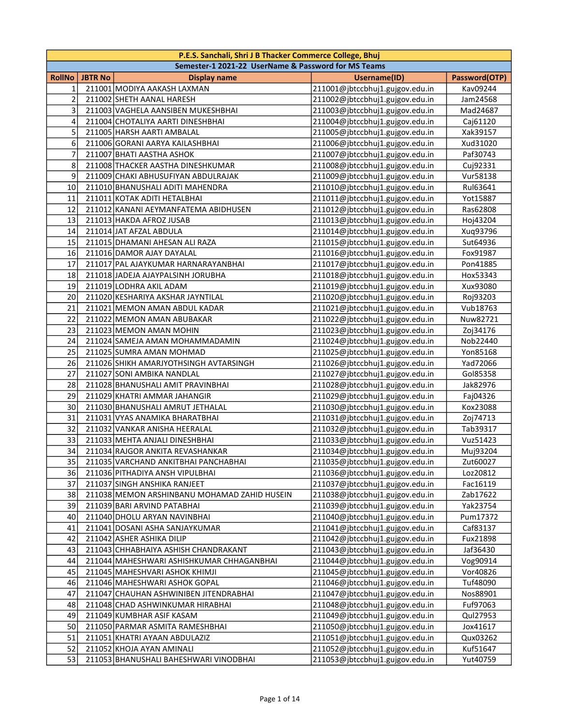|                | P.E.S. Sanchali, Shri J B Thacker Commerce College, Bhuj |                                                     |                                 |               |  |
|----------------|----------------------------------------------------------|-----------------------------------------------------|---------------------------------|---------------|--|
|                |                                                          | Semester-1 2021-22 UserName & Password for MS Teams |                                 |               |  |
| RollNo         | <b>JBTR No</b>                                           | <b>Display name</b>                                 | <b>Username(ID)</b>             | Password(OTP) |  |
| 1              |                                                          | 211001 MODIYA AAKASH LAXMAN                         | 211001@jbtccbhuj1.gujgov.edu.in | Kav09244      |  |
| $\mathbf 2$    |                                                          | 211002 SHETH AANAL HARESH                           | 211002@jbtccbhuj1.gujgov.edu.in | Jam24568      |  |
| 3              |                                                          | 211003 VAGHELA AANSIBEN MUKESHBHAI                  | 211003@jbtccbhuj1.gujgov.edu.in | Mad24687      |  |
| 4              |                                                          | 211004 CHOTALIYA AARTI DINESHBHAI                   | 211004@jbtccbhuj1.gujgov.edu.in | Caj61120      |  |
| 5              |                                                          | 211005 HARSH AARTI AMBALAL                          | 211005@jbtccbhuj1.gujgov.edu.in | Xak39157      |  |
| 6              |                                                          | 211006 GORANI AARYA KAILASHBHAI                     | 211006@jbtccbhuj1.gujgov.edu.in | Xud31020      |  |
| $\overline{7}$ |                                                          | 211007 BHATI AASTHA ASHOK                           | 211007@jbtccbhuj1.gujgov.edu.in | Paf30743      |  |
| 8              |                                                          | 211008 THACKER AASTHA DINESHKUMAR                   | 211008@jbtccbhuj1.gujgov.edu.in | Cuj92331      |  |
| 9              |                                                          | 211009 CHAKI ABHUSUFIYAN ABDULRAJAK                 | 211009@jbtccbhuj1.gujgov.edu.in | Vur58138      |  |
| 10             |                                                          | 211010 BHANUSHALI ADITI MAHENDRA                    | 211010@jbtccbhuj1.gujgov.edu.in | Rul63641      |  |
| 11             |                                                          | 211011 KOTAK ADITI HETALBHAI                        | 211011@jbtccbhuj1.gujgov.edu.in | Yot15887      |  |
| 12             |                                                          | 211012 KANANI AEYMANFATEMA ABIDHUSEN                | 211012@jbtccbhuj1.gujgov.edu.in | Ras62808      |  |
| 13             |                                                          | 211013 HAKDA AFROZ JUSAB                            | 211013@jbtccbhuj1.gujgov.edu.in | Hoj43204      |  |
| 14             |                                                          | 211014 JAT AFZAL ABDULA                             | 211014@jbtccbhuj1.gujgov.edu.in | Xuq93796      |  |
| 15             |                                                          | 211015 DHAMANI AHESAN ALI RAZA                      | 211015@jbtccbhuj1.gujgov.edu.in | Sut64936      |  |
| 16             |                                                          | 211016 DAMOR AJAY DAYALAL                           | 211016@jbtccbhuj1.gujgov.edu.in | Fox91987      |  |
| 17             |                                                          | 211017 PAL AJAYKUMAR HARNARAYANBHAI                 | 211017@jbtccbhuj1.gujgov.edu.in | Pon41885      |  |
| 18             |                                                          | 211018 JADEJA AJAYPALSINH JORUBHA                   | 211018@jbtccbhuj1.gujgov.edu.in | Hox53343      |  |
| 19             |                                                          | 211019 LODHRA AKIL ADAM                             | 211019@jbtccbhuj1.gujgov.edu.in | Xux93080      |  |
| 20             |                                                          | 211020 KESHARIYA AKSHAR JAYNTILAL                   | 211020@jbtccbhuj1.gujgov.edu.in | Roj93203      |  |
| 21             |                                                          | 211021 MEMON AMAN ABDUL KADAR                       | 211021@jbtccbhuj1.gujgov.edu.in | Vub18763      |  |
| 22             |                                                          | 211022 MEMON AMAN ABUBAKAR                          | 211022@jbtccbhuj1.gujgov.edu.in | Nuw82721      |  |
| 23             |                                                          | 211023 MEMON AMAN MOHIN                             | 211023@jbtccbhuj1.gujgov.edu.in | Zoj34176      |  |
| 24             |                                                          | 211024 SAMEJA AMAN MOHAMMADAMIN                     | 211024@jbtccbhuj1.gujgov.edu.in | Nob22440      |  |
| 25             |                                                          | 211025 SUMRA AMAN MOHMAD                            | 211025@jbtccbhuj1.gujgov.edu.in | Yon85168      |  |
| 26             |                                                          | 211026 SHIKH AMARJYOTHSINGH AVTARSINGH              | 211026@jbtccbhuj1.gujgov.edu.in | Yad72066      |  |
| 27             |                                                          | 211027 SONI AMBIKA NANDLAL                          | 211027@jbtccbhuj1.gujgov.edu.in | Gol85358      |  |
| 28             |                                                          | 211028 BHANUSHALI AMIT PRAVINBHAI                   | 211028@jbtccbhuj1.gujgov.edu.in | Jak82976      |  |
| 29             |                                                          | 211029 KHATRI AMMAR JAHANGIR                        | 211029@jbtccbhuj1.gujgov.edu.in | Faj04326      |  |
| 30             |                                                          | 211030 BHANUSHALI AMRUT JETHALAL                    | 211030@jbtccbhuj1.gujgov.edu.in | Kox23088      |  |
| 31             |                                                          | 211031 VYAS ANAMIKA BHARATBHAI                      | 211031@jbtccbhuj1.gujgov.edu.in | Zoj74713      |  |
| 32             |                                                          | 211032 VANKAR ANISHA HEERALAL                       | 211032@jbtccbhuj1.gujgov.edu.in | Tab39317      |  |
| 33             |                                                          | 211033 MEHTA ANJALI DINESHBHAI                      | 211033@jbtccbhuj1.gujgov.edu.in | Vuz51423      |  |
| 34             |                                                          | 211034 RAJGOR ANKITA REVASHANKAR                    | 211034@jbtccbhuj1.gujgov.edu.in | Muj93204      |  |
| 35             |                                                          | 211035 VARCHAND ANKITBHAI PANCHABHAI                | 211035@jbtccbhuj1.gujgov.edu.in | Zut60027      |  |
| 36             |                                                          | 211036 PITHADIYA ANSH VIPULBHAI                     | 211036@jbtccbhuj1.gujgov.edu.in | Loz20812      |  |
| 37             |                                                          | 211037 SINGH ANSHIKA RANJEET                        | 211037@jbtccbhuj1.gujgov.edu.in | Fac16119      |  |
| 38             |                                                          | 211038 MEMON ARSHINBANU MOHAMAD ZAHID HUSEIN        | 211038@jbtccbhuj1.gujgov.edu.in | Zab17622      |  |
| 39             |                                                          | 211039 BARI ARVIND PATABHAI                         | 211039@jbtccbhuj1.gujgov.edu.in | Yak23754      |  |
| 40             |                                                          | 211040 DHOLU ARYAN NAVINBHAI                        | 211040@jbtccbhuj1.gujgov.edu.in | Pum17372      |  |
| 41             |                                                          | 211041 DOSANI ASHA SANJAYKUMAR                      | 211041@jbtccbhuj1.gujgov.edu.in | Caf83137      |  |
| 42             |                                                          | 211042 ASHER ASHIKA DILIP                           | 211042@jbtccbhuj1.gujgov.edu.in | Fux21898      |  |
| 43             |                                                          | 211043 CHHABHAIYA ASHISH CHANDRAKANT                | 211043@jbtccbhuj1.gujgov.edu.in | Jaf36430      |  |
| 44             |                                                          | 211044 MAHESHWARI ASHISHKUMAR CHHAGANBHAI           | 211044@jbtccbhuj1.gujgov.edu.in | Vog90914      |  |
| 45             |                                                          | 211045 MAHESHVARI ASHOK KHIMJI                      | 211045@jbtccbhuj1.gujgov.edu.in | Vor40826      |  |
| 46             |                                                          | 211046 MAHESHWARI ASHOK GOPAL                       | 211046@jbtccbhuj1.gujgov.edu.in | Tuf48090      |  |
| 47             |                                                          | 211047 CHAUHAN ASHWINIBEN JITENDRABHAI              | 211047@jbtccbhuj1.gujgov.edu.in | Nos88901      |  |
| 48             |                                                          | 211048 CHAD ASHWINKUMAR HIRABHAI                    | 211048@jbtccbhuj1.gujgov.edu.in | Fuf97063      |  |
| 49             |                                                          | 211049 KUMBHAR ASIF KASAM                           | 211049@jbtccbhuj1.gujgov.edu.in | Qul27953      |  |
| 50             |                                                          | 211050 PARMAR ASMITA RAMESHBHAI                     | 211050@jbtccbhuj1.gujgov.edu.in | Jox41617      |  |
| 51             |                                                          | 211051 KHATRI AYAAN ABDULAZIZ                       | 211051@jbtccbhuj1.gujgov.edu.in | Qux03262      |  |
| 52             |                                                          | 211052 KHOJA AYAN AMINALI                           | 211052@jbtccbhuj1.gujgov.edu.in | Kuf51647      |  |
| 53             |                                                          | 211053 BHANUSHALI BAHESHWARI VINODBHAI              | 211053@jbtccbhuj1.gujgov.edu.in | Yut40759      |  |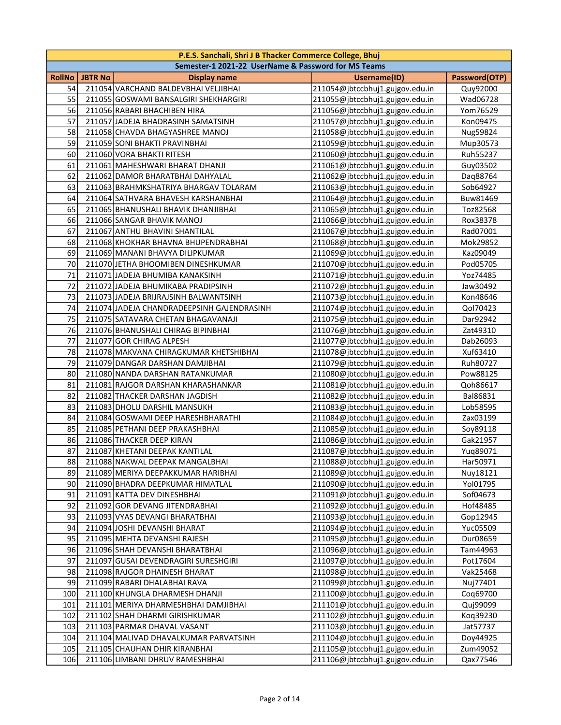|               | P.E.S. Sanchali, Shri J B Thacker Commerce College, Bhuj |                                                     |                                 |               |
|---------------|----------------------------------------------------------|-----------------------------------------------------|---------------------------------|---------------|
|               |                                                          | Semester-1 2021-22 UserName & Password for MS Teams |                                 |               |
| <b>RollNo</b> | <b>JBTR No</b>                                           | <b>Display name</b>                                 | <b>Username(ID)</b>             | Password(OTP) |
| 54            |                                                          | 211054 VARCHAND BALDEVBHAI VELJIBHAI                | 211054@jbtccbhuj1.gujgov.edu.in | Quy92000      |
| 55            |                                                          | 211055 GOSWAMI BANSALGIRI SHEKHARGIRI               | 211055@jbtccbhuj1.gujgov.edu.in | Wad06728      |
| 56            |                                                          | 211056 RABARI BHACHIBEN HIRA                        | 211056@jbtccbhuj1.gujgov.edu.in | Yom76529      |
| 57            |                                                          | 211057 JADEJA BHADRASINH SAMATSINH                  | 211057@jbtccbhuj1.gujgov.edu.in | Kon09475      |
| 58            |                                                          | 211058 CHAVDA BHAGYASHREE MANOJ                     | 211058@jbtccbhuj1.gujgov.edu.in | Nug59824      |
| 59            |                                                          | 211059 SONI BHAKTI PRAVINBHAI                       | 211059@jbtccbhuj1.gujgov.edu.in | Mup30573      |
| 60            |                                                          | 211060 VORA BHAKTI RITESH                           | 211060@jbtccbhuj1.gujgov.edu.in | Ruh55237      |
| 61            |                                                          | 211061 MAHESHWARI BHARAT DHANJI                     | 211061@jbtccbhuj1.gujgov.edu.in | Guy03502      |
| 62            |                                                          | 211062 DAMOR BHARATBHAI DAHYALAL                    | 211062@jbtccbhuj1.gujgov.edu.in | Daq88764      |
| 63            |                                                          | 211063 BRAHMKSHATRIYA BHARGAV TOLARAM               | 211063@jbtccbhuj1.gujgov.edu.in | Sob64927      |
| 64            |                                                          | 211064 SATHVARA BHAVESH KARSHANBHAI                 | 211064@jbtccbhuj1.gujgov.edu.in | Buw81469      |
| 65            |                                                          | 211065 BHANUSHALI BHAVIK DHANJIBHAI                 | 211065@jbtccbhuj1.gujgov.edu.in | Toz82568      |
| 66            |                                                          | 211066 SANGAR BHAVIK MANOJ                          | 211066@jbtccbhuj1.gujgov.edu.in | Rox38378      |
| 67            |                                                          | 211067 ANTHU BHAVINI SHANTILAL                      | 211067@jbtccbhuj1.gujgov.edu.in | Rad07001      |
| 68            |                                                          | 211068 KHOKHAR BHAVNA BHUPENDRABHAI                 | 211068@jbtccbhuj1.gujgov.edu.in | Mok29852      |
| 69            |                                                          | 211069 MANANI BHAVYA DILIPKUMAR                     | 211069@jbtccbhuj1.gujgov.edu.in | Kaz09049      |
| 70            |                                                          | 211070 JETHA BHOOMIBEN DINESHKUMAR                  | 211070@jbtccbhuj1.gujgov.edu.in | Pod05705      |
| 71            |                                                          | 211071 JADEJA BHUMIBA KANAKSINH                     | 211071@jbtccbhuj1.gujgov.edu.in | Yoz74485      |
| 72            |                                                          | 211072 JADEJA BHUMIKABA PRADIPSINH                  | 211072@jbtccbhuj1.gujgov.edu.in | Jaw30492      |
| 73            |                                                          | 211073 JADEJA BRIJRAJSINH BALWANTSINH               | 211073@jbtccbhuj1.gujgov.edu.in | Kon48646      |
| 74            |                                                          | 211074 JADEJA CHANDRADEEPSINH GAJENDRASINH          | 211074@jbtccbhuj1.gujgov.edu.in | Qol70423      |
| 75            |                                                          | 211075 SATAVARA CHETAN BHAGAVANAJI                  | 211075@jbtccbhuj1.gujgov.edu.in | Dar92942      |
| 76            |                                                          | 211076 BHANUSHALI CHIRAG BIPINBHAI                  | 211076@jbtccbhuj1.gujgov.edu.in | Zat49310      |
| 77            |                                                          | 211077 GOR CHIRAG ALPESH                            | 211077@jbtccbhuj1.gujgov.edu.in | Dab26093      |
| 78            |                                                          | 211078 MAKVANA CHIRAGKUMAR KHETSHIBHAI              | 211078@jbtccbhuj1.gujgov.edu.in | Xuf63410      |
| 79            |                                                          | 211079 DANGAR DARSHAN DAMJIBHAI                     | 211079@jbtccbhuj1.gujgov.edu.in | Ruh80727      |
| 80            |                                                          | 211080 NANDA DARSHAN RATANKUMAR                     | 211080@jbtccbhuj1.gujgov.edu.in | Pow88125      |
| 81            |                                                          | 211081 RAJGOR DARSHAN KHARASHANKAR                  | 211081@jbtccbhuj1.gujgov.edu.in | Qoh86617      |
| 82            |                                                          | 211082 THACKER DARSHAN JAGDISH                      | 211082@jbtccbhuj1.gujgov.edu.in | Bal86831      |
| 83            |                                                          | 211083 DHOLU DARSHIL MANSUKH                        | 211083@jbtccbhuj1.gujgov.edu.in | Lob58595      |
| 84            |                                                          | 211084 GOSWAMI DEEP HARESHBHARATHI                  | 211084@jbtccbhuj1.gujgov.edu.in | Zax03199      |
| 85            |                                                          | 211085 PETHANI DEEP PRAKASHBHAI                     | 211085@jbtccbhuj1.gujgov.edu.in | Soy89118      |
| 86            |                                                          | 211086 THACKER DEEP KIRAN                           | 211086@jbtccbhuj1.gujgov.edu.in | Gak21957      |
| 87            |                                                          | 211087 KHETANI DEEPAK KANTILAL                      | 211087@jbtccbhuj1.gujgov.edu.in | Yug89071      |
| 88            |                                                          | 211088 NAKWAL DEEPAK MANGALBHAI                     | 211088@jbtccbhuj1.gujgov.edu.in | Har50971      |
| 89            |                                                          | 211089 MERIYA DEEPAKKUMAR HARIBHAI                  | 211089@jbtccbhuj1.gujgov.edu.in | Nuy18121      |
| 90            |                                                          | 211090 BHADRA DEEPKUMAR HIMATLAL                    | 211090@jbtccbhuj1.gujgov.edu.in | Yol01795      |
| 91            |                                                          | 211091 KATTA DEV DINESHBHAI                         | 211091@jbtccbhuj1.gujgov.edu.in | Sof04673      |
| 92            |                                                          | 211092 GOR DEVANG JITENDRABHAI                      | 211092@jbtccbhuj1.gujgov.edu.in | Hof48485      |
| 93            |                                                          | 211093 VYAS DEVANGI BHARATBHAI                      | 211093@jbtccbhuj1.gujgov.edu.in | Gop12945      |
| 94            |                                                          | 211094 JOSHI DEVANSHI BHARAT                        | 211094@jbtccbhuj1.gujgov.edu.in | Yuc05509      |
| 95            |                                                          | 211095 MEHTA DEVANSHI RAJESH                        | 211095@jbtccbhuj1.gujgov.edu.in | Dur08659      |
| 96            |                                                          | 211096 SHAH DEVANSHI BHARATBHAI                     | 211096@jbtccbhuj1.gujgov.edu.in | Tam44963      |
| 97            |                                                          | 211097 GUSAI DEVENDRAGIRI SURESHGIRI                | 211097@jbtccbhuj1.gujgov.edu.in | Pot17604      |
| 98            |                                                          | 211098 RAJGOR DHAINESH BHARAT                       | 211098@jbtccbhuj1.gujgov.edu.in | Vak25468      |
| 99            |                                                          | 211099 RABARI DHALABHAI RAVA                        | 211099@jbtccbhuj1.gujgov.edu.in | Nuj77401      |
| 100           |                                                          | 211100 KHUNGLA DHARMESH DHANJI                      | 211100@jbtccbhuj1.gujgov.edu.in | Coq69700      |
| 101           |                                                          | 211101 MERIYA DHARMESHBHAI DAMJIBHAI                | 211101@jbtccbhuj1.gujgov.edu.in | Quj99099      |
| 102           |                                                          | 211102 SHAH DHARMI GIRISHKUMAR                      | 211102@jbtccbhuj1.gujgov.edu.in | Koq39230      |
| 103           |                                                          | 211103 PARMAR DHAVAL VASANT                         | 211103@jbtccbhuj1.gujgov.edu.in | Jat57737      |
| 104           |                                                          | 211104 MALIVAD DHAVALKUMAR PARVATSINH               | 211104@jbtccbhuj1.gujgov.edu.in | Doy44925      |
| 105           |                                                          | 211105 CHAUHAN DHIR KIRANBHAI                       | 211105@jbtccbhuj1.gujgov.edu.in | Zum49052      |
| 106           |                                                          | 211106 LIMBANI DHRUV RAMESHBHAI                     | 211106@jbtccbhuj1.gujgov.edu.in | Qax77546      |
|               |                                                          |                                                     |                                 |               |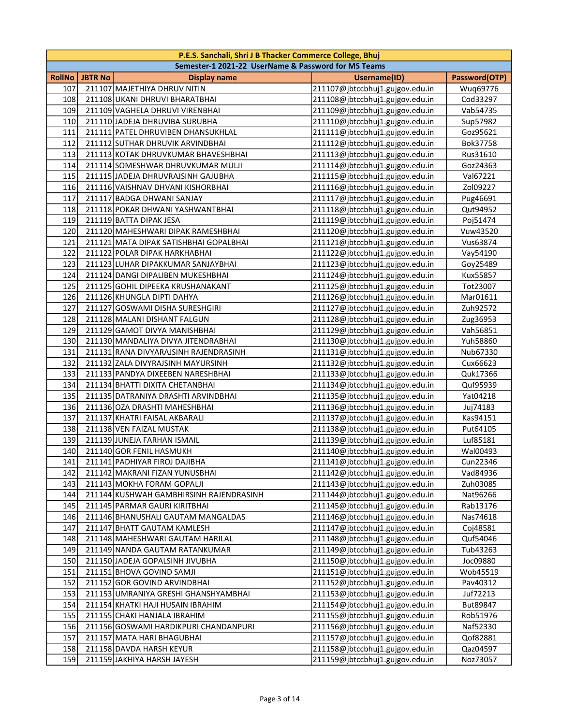|        |                | P.E.S. Sanchali, Shri J B Thacker Commerce College, Bhuj |                                 |               |
|--------|----------------|----------------------------------------------------------|---------------------------------|---------------|
|        |                | Semester-1 2021-22 UserName & Password for MS Teams      |                                 |               |
| RollNo | <b>JBTR No</b> | <b>Display name</b>                                      | Username(ID)                    | Password(OTP) |
| 107    |                | 211107 MAJETHIYA DHRUV NITIN                             | 211107@jbtccbhuj1.gujgov.edu.in | Wuq69776      |
| 108    |                | 211108 UKANI DHRUVI BHARATBHAI                           | 211108@jbtccbhuj1.gujgov.edu.in | Cod33297      |
| 109    |                | 211109 VAGHELA DHRUVI VIRENBHAI                          | 211109@jbtccbhuj1.gujgov.edu.in | Vab54735      |
| 110    |                | 211110 JADEJA DHRUVIBA SURUBHA                           | 211110@jbtccbhuj1.gujgov.edu.in | Sup57982      |
| 111    |                | 211111 PATEL DHRUVIBEN DHANSUKHLAL                       | 211111@jbtccbhuj1.gujgov.edu.in | Goz95621      |
| 112    |                | 211112 SUTHAR DHRUVIK ARVINDBHAI                         | 211112@jbtccbhuj1.gujgov.edu.in | Bok37758      |
| 113    |                | 211113 KOTAK DHRUVKUMAR BHAVESHBHAI                      | 211113@jbtccbhuj1.gujgov.edu.in | Rus31610      |
| 114    |                | 211114 SOMESHWAR DHRUVKUMAR MULJI                        | 211114@jbtccbhuj1.gujgov.edu.in | Goz24363      |
| 115    |                | 211115 JADEJA DHRUVRAJSINH GAJUBHA                       | 211115@jbtccbhuj1.gujgov.edu.in | Val67221      |
| 116    |                | 211116 VAISHNAV DHVANI KISHORBHAI                        | 211116@jbtccbhuj1.gujgov.edu.in | Zol09227      |
| 117    |                | 211117 BADGA DHWANI SANJAY                               | 211117@jbtccbhuj1.gujgov.edu.in | Pug46691      |
| 118    |                | 211118 POKAR DHWANI YASHWANTBHAI                         | 211118@jbtccbhuj1.gujgov.edu.in | Qut94952      |
| 119    |                | 211119 BATTA DIPAK JESA                                  | 211119@jbtccbhuj1.gujgov.edu.in | Poj51474      |
| 120    |                | 211120 MAHESHWARI DIPAK RAMESHBHAI                       | 211120@jbtccbhuj1.gujgov.edu.in | Vuw43520      |
| 121    |                | 211121 MATA DIPAK SATISHBHAI GOPALBHAI                   | 211121@jbtccbhuj1.gujgov.edu.in | Vus63874      |
| 122    |                | 211122 POLAR DIPAK HARKHABHAI                            | 211122@jbtccbhuj1.gujgov.edu.in | Vay54190      |
| 123    |                | 211123 LUHAR DIPAKKUMAR SANJAYBHAI                       | 211123@jbtccbhuj1.gujgov.edu.in | Goy25489      |
| 124    |                | 211124 DANGI DIPALIBEN MUKESHBHAI                        | 211124@jbtccbhuj1.gujgov.edu.in | Kux55857      |
| 125    |                | 211125 GOHIL DIPEEKA KRUSHANAKANT                        | 211125@jbtccbhuj1.gujgov.edu.in | Tot23007      |
| 126    |                | 211126 KHUNGLA DIPTI DAHYA                               | 211126@jbtccbhuj1.gujgov.edu.in | Mar01611      |
| 127    |                | 211127 GOSWAMI DISHA SURESHGIRI                          | 211127@jbtccbhuj1.gujgov.edu.in | Zuh92572      |
| 128    |                | 211128 MALANI DISHANT FALGUN                             | 211128@jbtccbhuj1.gujgov.edu.in | Zug36953      |
| 129    |                | 211129 GAMOT DIVYA MANISHBHAI                            | 211129@jbtccbhuj1.gujgov.edu.in | Vah56851      |
| 130    |                | 211130 MANDALIYA DIVYA JITENDRABHAI                      | 211130@jbtccbhuj1.gujgov.edu.in | Yuh58860      |
| 131    |                | 211131 RANA DIVYARAJSINH RAJENDRASINH                    | 211131@jbtccbhuj1.gujgov.edu.in | Nub67330      |
| 132    |                | 211132 ZALA DIVYRAJSINH MAYURSINH                        | 211132@jbtccbhuj1.gujgov.edu.in | Cux66623      |
| 133    |                | 211133 PANDYA DIXEEBEN NARESHBHAI                        | 211133@jbtccbhuj1.gujgov.edu.in | Quk17366      |
| 134    |                | 211134 BHATTI DIXITA CHETANBHAI                          | 211134@jbtccbhuj1.gujgov.edu.in | Quf95939      |
| 135    |                | 211135 DATRANIYA DRASHTI ARVINDBHAI                      | 211135@jbtccbhuj1.gujgov.edu.in | Yat04218      |
| 136    |                | 211136 OZA DRASHTI MAHESHBHAI                            | 211136@jbtccbhuj1.gujgov.edu.in | Juj74183      |
| 137    |                | 211137 KHATRI FAISAL AKBARALI                            | 211137@jbtccbhuj1.gujgov.edu.in | Kas94151      |
| 138    |                | 211138 VEN FAIZAL MUSTAK                                 | 211138@jbtccbhuj1.gujgov.edu.in | Put64105      |
| 139    |                | 211139 JUNEJA FARHAN ISMAIL                              | 211139@jbtccbhuj1.gujgov.edu.in | Luf85181      |
| 140    |                | 211140 GOR FENIL HASMUKH                                 | 211140@jbtccbhuj1.gujgov.edu.in | Wal00493      |
| 141    |                | 211141 PADHIYAR FIROJ DAJIBHA                            | 211141@jbtccbhuj1.gujgov.edu.in | Cun22346      |
| 142    |                | 211142 MAKRANI FIZAN YUNUSBHAI                           | 211142@jbtccbhuj1.gujgov.edu.in | Vad84936      |
| 143    |                | 211143 MOKHA FORAM GOPALJI                               | 211143@jbtccbhuj1.gujgov.edu.in | Zuh03085      |
| 144    |                | 211144 KUSHWAH GAMBHIRSINH RAJENDRASINH                  | 211144@jbtccbhuj1.gujgov.edu.in | Nat96266      |
| 145    |                | 211145 PARMAR GAURI KIRITBHAI                            | 211145@jbtccbhuj1.gujgov.edu.in | Rab13176      |
| 146    |                | 211146 BHANUSHALI GAUTAM MANGALDAS                       | 211146@jbtccbhuj1.gujgov.edu.in | Nas74618      |
| 147    |                | 211147 BHATT GAUTAM KAMLESH                              | 211147@jbtccbhuj1.gujgov.edu.in | Coj48581      |
| 148    |                | 211148 MAHESHWARI GAUTAM HARILAL                         | 211148@jbtccbhuj1.gujgov.edu.in | Quf54046      |
| 149    |                | 211149 NANDA GAUTAM RATANKUMAR                           | 211149@jbtccbhuj1.gujgov.edu.in | Tub43263      |
| 150    |                | 211150 JADEJA GOPALSINH JIVUBHA                          | 211150@jbtccbhuj1.gujgov.edu.in | Joc09880      |
| 151    |                | 211151 BHOVA GOVIND SAMJI                                | 211151@jbtccbhuj1.gujgov.edu.in | Wob45519      |
| 152    |                | 211152 GOR GOVIND ARVINDBHAI                             | 211152@jbtccbhuj1.gujgov.edu.in | Pav40312      |
| 153    |                | 211153 UMRANIYA GRESHI GHANSHYAMBHAI                     | 211153@jbtccbhuj1.gujgov.edu.in | Juf72213      |
| 154    |                | 211154 KHATKI HAJI HUSAIN IBRAHIM                        | 211154@jbtccbhuj1.gujgov.edu.in | But89847      |
| 155    |                | 211155 CHAKI HANJALA IBRAHIM                             | 211155@jbtccbhuj1.gujgov.edu.in | Rob51976      |
| 156    |                | 211156 GOSWAMI HARDIKPURI CHANDANPURI                    | 211156@jbtccbhuj1.gujgov.edu.in | Naf52330      |
| 157    |                | 211157 MATA HARI BHAGUBHAI                               | 211157@jbtccbhuj1.gujgov.edu.in | Qof82881      |
| 158    |                | 211158 DAVDA HARSH KEYUR                                 | 211158@jbtccbhuj1.gujgov.edu.in | Qaz04597      |
| 159    |                | 211159 JAKHIYA HARSH JAYESH                              | 211159@jbtccbhuj1.gujgov.edu.in | Noz73057      |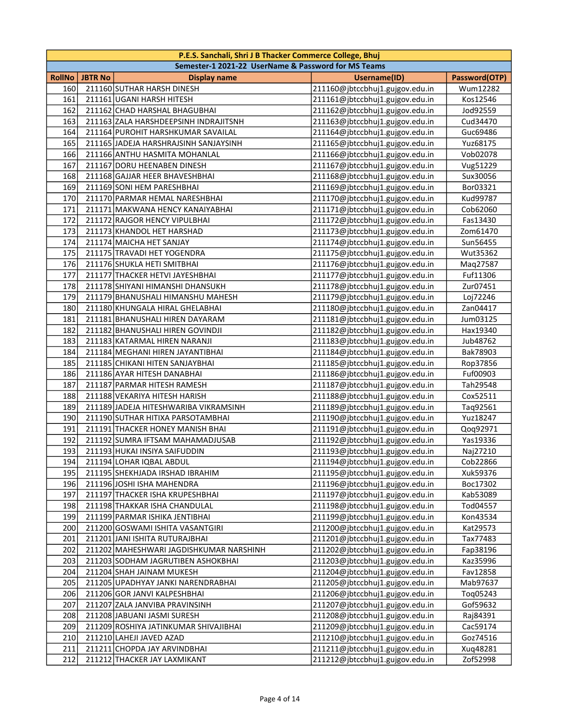|               | P.E.S. Sanchali, Shri J B Thacker Commerce College, Bhuj |                                                     |                                 |               |  |
|---------------|----------------------------------------------------------|-----------------------------------------------------|---------------------------------|---------------|--|
|               |                                                          | Semester-1 2021-22 UserName & Password for MS Teams |                                 |               |  |
| <b>RollNo</b> | <b>JBTR No</b>                                           | <b>Display name</b>                                 | <b>Username(ID)</b>             | Password(OTP) |  |
| 160           |                                                          | 211160 SUTHAR HARSH DINESH                          | 211160@jbtccbhuj1.gujgov.edu.in | Wum12282      |  |
| 161           |                                                          | 211161 UGANI HARSH HITESH                           | 211161@jbtccbhuj1.gujgov.edu.in | Kos12546      |  |
| 162           |                                                          | 211162 CHAD HARSHAL BHAGUBHAI                       | 211162@jbtccbhuj1.gujgov.edu.in | Jod92559      |  |
| 163           |                                                          | 211163 ZALA HARSHDEEPSINH INDRAJITSNH               | 211163@jbtccbhuj1.gujgov.edu.in | Cud34470      |  |
| 164           |                                                          | 211164 PUROHIT HARSHKUMAR SAVAILAL                  | 211164@jbtccbhuj1.gujgov.edu.in | Guc69486      |  |
| 165           |                                                          | 211165 JADEJA HARSHRAJSINH SANJAYSINH               | 211165@jbtccbhuj1.gujgov.edu.in | Yuz68175      |  |
| 166           |                                                          | 211166 ANTHU HASMITA MOHANLAL                       | 211166@jbtccbhuj1.gujgov.edu.in | Vob02078      |  |
| 167           |                                                          | 211167 DORU HEENABEN DINESH                         | 211167@jbtccbhuj1.gujgov.edu.in | Vug51229      |  |
| 168           |                                                          | 211168 GAJJAR HEER BHAVESHBHAI                      | 211168@jbtccbhuj1.gujgov.edu.in | Sux30056      |  |
| 169           |                                                          | 211169 SONI HEM PARESHBHAI                          | 211169@jbtccbhuj1.gujgov.edu.in | Bor03321      |  |
| 170           |                                                          | 211170 PARMAR HEMAL NARESHBHAI                      | 211170@jbtccbhuj1.gujgov.edu.in | Kud99787      |  |
| 171           |                                                          | 211171 MAKWANA HENCY KANAIYABHAI                    | 211171@jbtccbhuj1.gujgov.edu.in | Cob62060      |  |
| 172           |                                                          | 211172 RAJGOR HENCY VIPULBHAI                       | 211172@jbtccbhuj1.gujgov.edu.in | Fas13430      |  |
| 173           |                                                          | 211173 KHANDOL HET HARSHAD                          | 211173@jbtccbhuj1.gujgov.edu.in | Zom61470      |  |
| 174           |                                                          | 211174 MAICHA HET SANJAY                            | 211174@jbtccbhuj1.gujgov.edu.in | Sun56455      |  |
| 175           |                                                          | 211175 TRAVADI HET YOGENDRA                         | 211175@jbtccbhuj1.gujgov.edu.in | Wut35362      |  |
| 176           |                                                          | 211176 SHUKLA HETI SMITBHAI                         | 211176@jbtccbhuj1.gujgov.edu.in | Maq27587      |  |
| 177           |                                                          | 211177 THACKER HETVI JAYESHBHAI                     | 211177@jbtccbhuj1.gujgov.edu.in | Fuf11306      |  |
| 178           |                                                          | 211178 SHIYANI HIMANSHI DHANSUKH                    | 211178@jbtccbhuj1.gujgov.edu.in | Zur07451      |  |
| 179           |                                                          | 211179 BHANUSHALI HIMANSHU MAHESH                   | 211179@jbtccbhuj1.gujgov.edu.in | Loj72246      |  |
| 180           |                                                          | 211180 KHUNGALA HIRAL GHELABHAI                     | 211180@jbtccbhuj1.gujgov.edu.in | Zan04417      |  |
| 181           |                                                          | 211181 BHANUSHALI HIREN DAYARAM                     | 211181@jbtccbhuj1.gujgov.edu.in | Jum03125      |  |
| 182           |                                                          | 211182 BHANUSHALI HIREN GOVINDJI                    | 211182@jbtccbhuj1.gujgov.edu.in | Hax19340      |  |
| 183           |                                                          | 211183 KATARMAL HIREN NARANJI                       | 211183@jbtccbhuj1.gujgov.edu.in | Jub48762      |  |
| 184           |                                                          | 211184 MEGHANI HIREN JAYANTIBHAI                    | 211184@jbtccbhuj1.gujgov.edu.in | Bak78903      |  |
| 185           |                                                          | 211185 CHIKANI HITEN SANJAYBHAI                     | 211185@jbtccbhuj1.gujgov.edu.in | Rop37856      |  |
| 186           |                                                          | 211186 AYAR HITESH DANABHAI                         | 211186@jbtccbhuj1.gujgov.edu.in | Fuf00903      |  |
| 187           |                                                          | 211187 PARMAR HITESH RAMESH                         | 211187@jbtccbhuj1.gujgov.edu.in | Tah29548      |  |
| 188           |                                                          | 211188 VEKARIYA HITESH HARISH                       | 211188@jbtccbhuj1.gujgov.edu.in | Cox52511      |  |
| 189           |                                                          | 211189 JADEJA HITESHWARIBA VIKRAMSINH               | 211189@jbtccbhuj1.gujgov.edu.in | Taq92561      |  |
| 190           |                                                          | 211190 SUTHAR HITIXA PARSOTAMBHAI                   | 211190@jbtccbhuj1.gujgov.edu.in | Yuz18247      |  |
| 191           |                                                          | 211191 THACKER HONEY MANISH BHAI                    | 211191@jbtccbhuj1.gujgov.edu.in | Qoq92971      |  |
| 192           |                                                          | 211192 SUMRA IFTSAM MAHAMADJUSAB                    | 211192@jbtccbhuj1.gujgov.edu.in | Yas19336      |  |
| 193           |                                                          | 211193 HUKAI INSIYA SAIFUDDIN                       | 211193@jbtccbhuj1.gujgov.edu.in | Naj27210      |  |
| 194           |                                                          | 211194 LOHAR IQBAL ABDUL                            | 211194@jbtccbhuj1.gujgov.edu.in | Cob22866      |  |
| 195           |                                                          | 211195 SHEKHJADA IRSHAD IBRAHIM                     | 211195@jbtccbhuj1.gujgov.edu.in | Xuk59376      |  |
| 196           |                                                          | 211196 JOSHI ISHA MAHENDRA                          | 211196@jbtccbhuj1.gujgov.edu.in | Boc17302      |  |
| 197           |                                                          | 211197 THACKER ISHA KRUPESHBHAI                     | 211197@jbtccbhuj1.gujgov.edu.in | Kab53089      |  |
| 198           |                                                          | 211198 THAKKAR ISHA CHANDULAL                       | 211198@jbtccbhuj1.gujgov.edu.in | Tod04557      |  |
| 199           |                                                          | 211199 PARMAR ISHIKA JENTIBHAI                      | 211199@jbtccbhuj1.gujgov.edu.in | Kon43534      |  |
| 200           |                                                          | 211200 GOSWAMI ISHITA VASANTGIRI                    | 211200@jbtccbhuj1.gujgov.edu.in | Kat29573      |  |
| 201           |                                                          | 211201 JANI ISHITA RUTURAJBHAI                      | 211201@jbtccbhuj1.gujgov.edu.in | Tax77483      |  |
| 202           |                                                          | 211202   MAHESHWARI JAGDISHKUMAR NARSHINH           | 211202@jbtccbhuj1.gujgov.edu.in | Fap38196      |  |
| 203           |                                                          | 211203 SODHAM JAGRUTIBEN ASHOKBHAI                  | 211203@jbtccbhuj1.gujgov.edu.in | Kaz35996      |  |
| 204           |                                                          | 211204 SHAH JAINAM MUKESH                           | 211204@jbtccbhuj1.gujgov.edu.in | Fav12858      |  |
| 205           |                                                          | 211205 UPADHYAY JANKI NARENDRABHAI                  | 211205@jbtccbhuj1.gujgov.edu.in | Mab97637      |  |
| 206           |                                                          | 211206 GOR JANVI KALPESHBHAI                        | 211206@jbtccbhuj1.gujgov.edu.in | Tog05243      |  |
| 207           |                                                          | 211207 ZALA JANVIBA PRAVINSINH                      | 211207@jbtccbhuj1.gujgov.edu.in | Gof59632      |  |
| 208           |                                                          | 211208 JABUANI JASMI SURESH                         | 211208@jbtccbhuj1.gujgov.edu.in | Raj84391      |  |
| 209           |                                                          | 211209 ROSHIYA JATINKUMAR SHIVAJIBHAI               | 211209@jbtccbhuj1.gujgov.edu.in | Cac59174      |  |
| 210           |                                                          | 211210 LAHEJI JAVED AZAD                            | 211210@jbtccbhuj1.gujgov.edu.in | Goz74516      |  |
| 211           |                                                          | 211211 CHOPDA JAY ARVINDBHAI                        | 211211@jbtccbhuj1.gujgov.edu.in | Xuq48281      |  |
| 212           |                                                          | 211212 THACKER JAY LAXMIKANT                        | 211212@jbtccbhuj1.gujgov.edu.in | Zof52998      |  |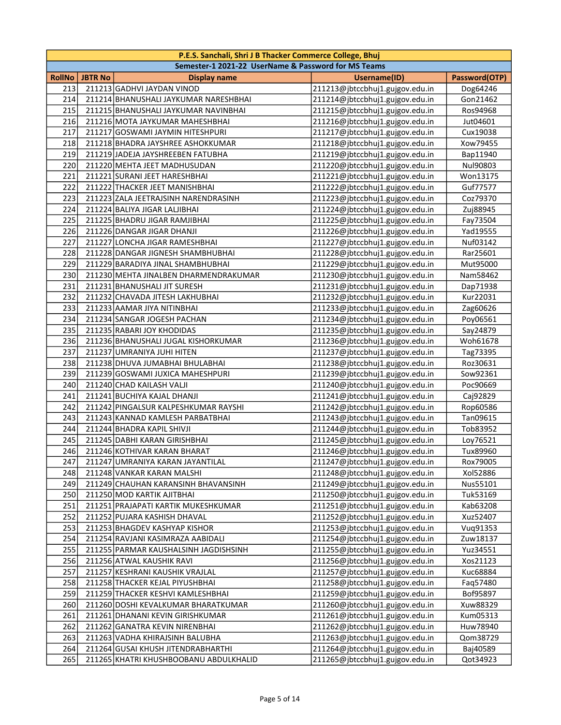|               |                | P.E.S. Sanchali, Shri J B Thacker Commerce College, Bhuj |                                 |               |
|---------------|----------------|----------------------------------------------------------|---------------------------------|---------------|
|               |                | Semester-1 2021-22 UserName & Password for MS Teams      |                                 |               |
| <b>RollNo</b> | <b>JBTR No</b> | <b>Display name</b>                                      | <b>Username(ID)</b>             | Password(OTP) |
| 213           |                | 211213 GADHVI JAYDAN VINOD                               | 211213@jbtccbhuj1.gujgov.edu.in | Dog64246      |
| 214           |                | 211214 BHANUSHALI JAYKUMAR NARESHBHAI                    | 211214@jbtccbhuj1.gujgov.edu.in | Gon21462      |
| 215           |                | 211215 BHANUSHALI JAYKUMAR NAVINBHAI                     | 211215@jbtccbhuj1.gujgov.edu.in | Ros94968      |
| 216           |                | 211216 MOTA JAYKUMAR MAHESHBHAI                          | 211216@jbtccbhuj1.gujgov.edu.in | Jut04601      |
| 217           |                | 211217 GOSWAMI JAYMIN HITESHPURI                         | 211217@jbtccbhuj1.gujgov.edu.in | Cux19038      |
| 218           |                | 211218 BHADRA JAYSHREE ASHOKKUMAR                        | 211218@jbtccbhuj1.gujgov.edu.in | Xow79455      |
| 219           |                | 211219 JADEJA JAYSHREEBEN FATUBHA                        | 211219@jbtccbhuj1.gujgov.edu.in | Bap11940      |
| 220           |                | 211220 MEHTA JEET MADHUSUDAN                             | 211220@jbtccbhuj1.gujgov.edu.in | Nul90803      |
| 221           |                | 211221 SURANI JEET HARESHBHAI                            | 211221@jbtccbhuj1.gujgov.edu.in | Won13175      |
| 222           |                | 211222 THACKER JEET MANISHBHAI                           | 211222@jbtccbhuj1.gujgov.edu.in | Guf77577      |
| 223           |                | 211223 ZALA JEETRAJSINH NARENDRASINH                     | 211223@jbtccbhuj1.gujgov.edu.in | Coz79370      |
| 224           |                | 211224 BALIYA JIGAR LALJIBHAI                            | 211224@jbtccbhuj1.gujgov.edu.in | Zuj88945      |
| 225           |                | 211225 BHADRU JIGAR RAMJIBHAI                            | 211225@jbtccbhuj1.gujgov.edu.in | Fay73504      |
| 226           |                | 211226 DANGAR JIGAR DHANJI                               | 211226@jbtccbhuj1.gujgov.edu.in | Yad19555      |
| 227           |                | 211227 LONCHA JIGAR RAMESHBHAI                           | 211227@jbtccbhuj1.gujgov.edu.in | Nuf03142      |
| 228           |                | 211228 DANGAR JIGNESH SHAMBHUBHAI                        | 211228@jbtccbhuj1.gujgov.edu.in | Rar25601      |
| 229           |                | 211229 BARADIYA JINAL SHAMBHUBHAI                        | 211229@jbtccbhuj1.gujgov.edu.in | Mut95000      |
| 230           |                | 211230 MEHTA JINALBEN DHARMENDRAKUMAR                    | 211230@jbtccbhuj1.gujgov.edu.in | Nam58462      |
| 231           |                | 211231 BHANUSHALI JIT SURESH                             | 211231@jbtccbhuj1.gujgov.edu.in | Dap71938      |
| 232           |                | 211232 CHAVADA JITESH LAKHUBHAI                          | 211232@jbtccbhuj1.gujgov.edu.in | Kur22031      |
| 233           |                | 211233 AAMAR JIYA NITINBHAI                              | 211233@jbtccbhuj1.gujgov.edu.in | Zag60626      |
| 234           |                | 211234 SANGAR JOGESH PACHAN                              | 211234@jbtccbhuj1.gujgov.edu.in | Poy06561      |
| 235           |                | 211235 RABARI JOY KHODIDAS                               | 211235@jbtccbhuj1.gujgov.edu.in | Say24879      |
| 236           |                | 211236 BHANUSHALI JUGAL KISHORKUMAR                      | 211236@jbtccbhuj1.gujgov.edu.in | Woh61678      |
| 237           |                | 211237 UMRANIYA JUHI HITEN                               | 211237@jbtccbhuj1.gujgov.edu.in | Tag73395      |
| 238           |                | 211238 DHUVA JUMABHAI BHULABHAI                          | 211238@jbtccbhuj1.gujgov.edu.in | Roz30631      |
| 239           |                | 211239 GOSWAMI JUXICA MAHESHPURI                         | 211239@jbtccbhuj1.gujgov.edu.in | Sow92361      |
| 240           |                | 211240 CHAD KAILASH VALJI                                | 211240@jbtccbhuj1.gujgov.edu.in | Poc90669      |
| 241           |                | 211241 BUCHIYA KAJAL DHANJI                              | 211241@jbtccbhuj1.gujgov.edu.in | Caj92829      |
| 242           |                | 211242 PINGALSUR KALPESHKUMAR RAYSHI                     | 211242@jbtccbhuj1.gujgov.edu.in | Rop60586      |
| 243           |                | 211243 KANNAD KAMLESH PARBATBHAI                         | 211243@jbtccbhuj1.gujgov.edu.in | Tan09615      |
| 244           |                | 211244 BHADRA KAPIL SHIVJI                               | 211244@jbtccbhuj1.gujgov.edu.in | Tob83952      |
| 245           |                | 211245 DABHI KARAN GIRISHBHAI                            | 211245@jbtccbhuj1.gujgov.edu.in | Loy76521      |
| 246           |                | 211246 KOTHIVAR KARAN BHARAT                             | 211246@jbtccbhuj1.gujgov.edu.in | Tux89960      |
| 247           |                | 211247 UMRANIYA KARAN JAYANTILAL                         | 211247@jbtccbhuj1.gujgov.edu.in | Rox79005      |
| 248           |                | 211248 VANKAR KARAN MALSHI                               | 211248@jbtccbhuj1.gujgov.edu.in | Xol52886      |
| 249           |                | 211249 CHAUHAN KARANSINH BHAVANSINH                      | 211249@jbtccbhuj1.gujgov.edu.in | Nus55101      |
| 250           |                | 211250 MOD KARTIK AJITBHAI                               | 211250@jbtccbhuj1.gujgov.edu.in | Tuk53169      |
| 251           |                | 211251   PRAJAPATI KARTIK MUKESHKUMAR                    | 211251@jbtccbhuj1.gujgov.edu.in | Kab63208      |
| 252           |                | 211252 PUJARA KASHISH DHAVAL                             | 211252@jbtccbhuj1.gujgov.edu.in | Xuz52407      |
| 253           |                | 211253 BHAGDEV KASHYAP KISHOR                            | 211253@jbtccbhuj1.gujgov.edu.in | Vuq91353      |
| 254           |                | 211254 RAVJANI KASIMRAZA AABIDALI                        | 211254@jbtccbhuj1.gujgov.edu.in | Zuw18137      |
| 255           |                | 211255 PARMAR KAUSHALSINH JAGDISHSINH                    | 211255@jbtccbhuj1.gujgov.edu.in | Yuz34551      |
| 256           |                | 211256 ATWAL KAUSHIK RAVI                                | 211256@jbtccbhuj1.gujgov.edu.in | Xos21123      |
| 257           |                | 211257 KESHRANI KAUSHIK VRAJLAL                          | 211257@jbtccbhuj1.gujgov.edu.in | Kuc68884      |
| 258           |                | 211258 THACKER KEJAL PIYUSHBHAI                          | 211258@jbtccbhuj1.gujgov.edu.in | Faq57480      |
| 259           |                | 211259 THACKER KESHVI KAMLESHBHAI                        | 211259@jbtccbhuj1.gujgov.edu.in | Bof95897      |
| 260           |                | 211260 DOSHI KEVALKUMAR BHARATKUMAR                      | 211260@jbtccbhuj1.gujgov.edu.in | Xuw88329      |
| 261           |                | 211261 DHANANI KEVIN GIRISHKUMAR                         | 211261@jbtccbhuj1.gujgov.edu.in | Kum05313      |
| 262           |                | 211262 GANATRA KEVIN NIRENBHAI                           | 211262@jbtccbhuj1.gujgov.edu.in | Huw78940      |
| 263           |                | 211263 VADHA KHIRAJSINH BALUBHA                          | 211263@jbtccbhuj1.gujgov.edu.in | Qom38729      |
| 264           |                | 211264 GUSAI KHUSH JITENDRABHARTHI                       | 211264@jbtccbhuj1.gujgov.edu.in | Baj40589      |
| 265           |                | 211265 KHATRI KHUSHBOOBANU ABDULKHALID                   | 211265@jbtccbhuj1.gujgov.edu.in | Qot34923      |
|               |                |                                                          |                                 |               |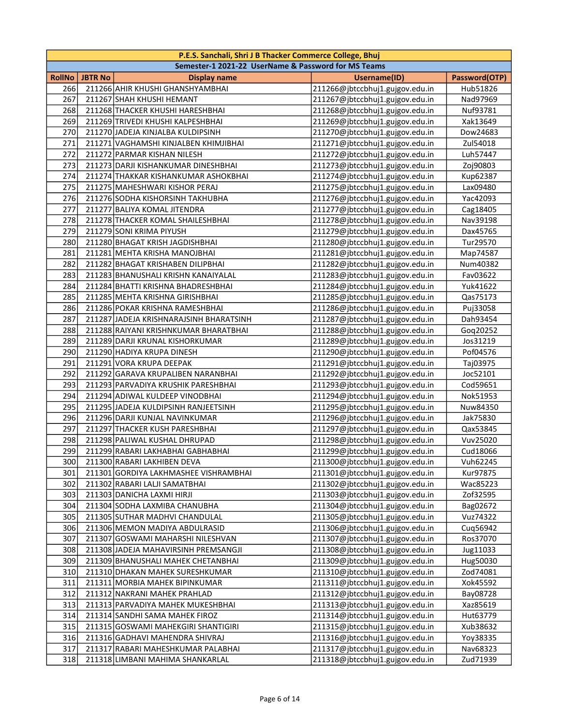|        |                | P.E.S. Sanchali, Shri J B Thacker Commerce College, Bhuj |                                 |               |
|--------|----------------|----------------------------------------------------------|---------------------------------|---------------|
|        |                | Semester-1 2021-22 UserName & Password for MS Teams      |                                 |               |
| RollNo | <b>JBTR No</b> | <b>Display name</b>                                      | Username(ID)                    | Password(OTP) |
| 266    |                | 211266 AHIR KHUSHI GHANSHYAMBHAI                         | 211266@jbtccbhuj1.gujgov.edu.in | Hub51826      |
| 267    |                | 211267 SHAH KHUSHI HEMANT                                | 211267@jbtccbhuj1.gujgov.edu.in | Nad97969      |
| 268    |                | 211268 THACKER KHUSHI HARESHBHAI                         | 211268@jbtccbhuj1.gujgov.edu.in | Nuf93781      |
| 269    |                | 211269 TRIVEDI KHUSHI KALPESHBHAI                        | 211269@jbtccbhuj1.gujgov.edu.in | Xak13649      |
| 270    |                | 211270 JADEJA KINJALBA KULDIPSINH                        | 211270@jbtccbhuj1.gujgov.edu.in | Dow24683      |
| 271    |                | 211271 VAGHAMSHI KINJALBEN KHIMJIBHAI                    | 211271@jbtccbhuj1.gujgov.edu.in | Zul54018      |
| 272    |                | 211272 PARMAR KISHAN NILESH                              | 211272@jbtccbhuj1.gujgov.edu.in | Luh57447      |
| 273    |                | 211273 DARJI KISHANKUMAR DINESHBHAI                      | 211273@jbtccbhuj1.gujgov.edu.in | Zoj90803      |
| 274    |                | 211274 THAKKAR KISHANKUMAR ASHOKBHAI                     | 211274@jbtccbhuj1.gujgov.edu.in | Kup62387      |
| 275    |                | 211275 MAHESHWARI KISHOR PERAJ                           | 211275@jbtccbhuj1.gujgov.edu.in | Lax09480      |
| 276    |                | 211276 SODHA KISHORSINH TAKHUBHA                         | 211276@jbtccbhuj1.gujgov.edu.in | Yac42093      |
| 277    |                | 211277 BALIYA KOMAL JITENDRA                             | 211277@jbtccbhuj1.gujgov.edu.in | Cag18405      |
| 278    |                | 211278 THACKER KOMAL SHAILESHBHAI                        | 211278@jbtccbhuj1.gujgov.edu.in | Nav39198      |
| 279    |                | 211279 SONI KRIMA PIYUSH                                 | 211279@jbtccbhuj1.gujgov.edu.in | Dax45765      |
| 280    |                | 211280 BHAGAT KRISH JAGDISHBHAI                          | 211280@jbtccbhuj1.gujgov.edu.in | Tur29570      |
| 281    |                | 211281 MEHTA KRISHA MANOJBHAI                            | 211281@jbtccbhuj1.gujgov.edu.in | Map74587      |
| 282    |                | 211282 BHAGAT KRISHABEN DILIPBHAI                        | 211282@jbtccbhuj1.gujgov.edu.in | Num40382      |
| 283    |                | 211283 BHANUSHALI KRISHN KANAIYALAL                      | 211283@jbtccbhuj1.gujgov.edu.in | Fav03622      |
| 284    |                | 211284 BHATTI KRISHNA BHADRESHBHAI                       | 211284@jbtccbhuj1.gujgov.edu.in | Yuk41622      |
| 285    |                | 211285 MEHTA KRISHNA GIRISHBHAI                          | 211285@jbtccbhuj1.gujgov.edu.in | Qas75173      |
| 286    |                | 211286 POKAR KRISHNA RAMESHBHAI                          | 211286@jbtccbhuj1.gujgov.edu.in | Puj33058      |
| 287    |                | 211287 JADEJA KRISHNARAJSINH BHARATSINH                  | 211287@jbtccbhuj1.gujgov.edu.in | Dah93454      |
| 288    |                | 211288 RAIYANI KRISHNKUMAR BHARATBHAI                    | 211288@jbtccbhuj1.gujgov.edu.in | Goq20252      |
| 289    |                | 211289 DARJI KRUNAL KISHORKUMAR                          | 211289@jbtccbhuj1.gujgov.edu.in | Jos31219      |
| 290    |                | 211290 HADIYA KRUPA DINESH                               | 211290@jbtccbhuj1.gujgov.edu.in | Pof04576      |
| 291    |                | 211291 VORA KRUPA DEEPAK                                 | 211291@jbtccbhuj1.gujgov.edu.in | Taj03975      |
| 292    |                | 211292 GARAVA KRUPALIBEN NARANBHAI                       | 211292@jbtccbhuj1.gujgov.edu.in | Joc52101      |
| 293    |                | 211293 PARVADIYA KRUSHIK PARESHBHAI                      | 211293@jbtccbhuj1.gujgov.edu.in | Cod59651      |
| 294    |                | 211294 ADIWAL KULDEEP VINODBHAI                          | 211294@jbtccbhuj1.gujgov.edu.in | Nok51953      |
| 295    |                | 211295 JADEJA KULDIPSINH RANJEETSINH                     | 211295@jbtccbhuj1.gujgov.edu.in | Nuw84350      |
| 296    |                | 211296 DARJI KUNJAL NAVINKUMAR                           | 211296@jbtccbhuj1.gujgov.edu.in | Jak75830      |
| 297    |                | 211297 THACKER KUSH PARESHBHAI                           | 211297@jbtccbhuj1.gujgov.edu.in | Qax53845      |
| 298    |                | 211298 PALIWAL KUSHAL DHRUPAD                            | 211298@jbtccbhuj1.gujgov.edu.in | Vuv25020      |
| 299    |                | 211299 RABARI LAKHABHAI GABHABHAI                        | 211299@jbtccbhuj1.gujgov.edu.in | Cud18066      |
| 300    |                | 211300 RABARI LAKHIBEN DEVA                              | 211300@jbtccbhuj1.gujgov.edu.in | Vuh62245      |
| 301    |                | 211301 GORDIYA LAKHMASHEE VISHRAMBHAI                    | 211301@jbtccbhuj1.gujgov.edu.in | Kur97875      |
| 302    |                | 211302 RABARI LALJI SAMATBHAI                            | 211302@jbtccbhuj1.gujgov.edu.in | Wac85223      |
| 303    |                | 211303 DANICHA LAXMI HIRJI                               | 211303@jbtccbhuj1.gujgov.edu.in | Zof32595      |
| 304    |                | 211304 SODHA LAXMIBA CHANUBHA                            | 211304@jbtccbhuj1.gujgov.edu.in | Bag02672      |
| 305    |                | 211305 SUTHAR MADHVI CHANDULAL                           | 211305@jbtccbhuj1.gujgov.edu.in | Vuz74322      |
| 306    |                | 211306 MEMON MADIYA ABDULRASID                           | 211306@jbtccbhuj1.gujgov.edu.in | Cuq56942      |
| 307    |                | 211307 GOSWAMI MAHARSHI NILESHVAN                        | 211307@jbtccbhuj1.gujgov.edu.in | Ros37070      |
| 308    |                | 211308 JADEJA MAHAVIRSINH PREMSANGJI                     | 211308@jbtccbhuj1.gujgov.edu.in | Jug11033      |
| 309    |                | 211309 BHANUSHALI MAHEK CHETANBHAI                       | 211309@jbtccbhuj1.gujgov.edu.in | Hug50030      |
| 310    |                | 211310 DHAKAN MAHEK SURESHKUMAR                          | 211310@jbtccbhuj1.gujgov.edu.in | Zod74081      |
| 311    |                | 211311 MORBIA MAHEK BIPINKUMAR                           | 211311@jbtccbhuj1.gujgov.edu.in | Xok45592      |
| 312    |                | 211312 NAKRANI MAHEK PRAHLAD                             | 211312@jbtccbhuj1.gujgov.edu.in | Bay08728      |
| 313    |                | 211313 PARVADIYA MAHEK MUKESHBHAI                        | 211313@jbtccbhuj1.gujgov.edu.in | Xaz85619      |
| 314    |                | 211314 SANDHI SAMA MAHEK FIROZ                           | 211314@jbtccbhuj1.gujgov.edu.in | Hut63779      |
| 315    |                | 211315 GOSWAMI MAHEKGIRI SHANTIGIRI                      | 211315@jbtccbhuj1.gujgov.edu.in | Xub38632      |
| 316    |                | 211316 GADHAVI MAHENDRA SHIVRAJ                          | 211316@jbtccbhuj1.gujgov.edu.in | Yoy38335      |
| 317    |                | 211317 RABARI MAHESHKUMAR PALABHAI                       | 211317@jbtccbhuj1.gujgov.edu.in | Nav68323      |
| 318    |                |                                                          | 211318@jbtccbhuj1.gujgov.edu.in |               |
|        |                | 211318 LIMBANI MAHIMA SHANKARLAL                         |                                 | Zud71939      |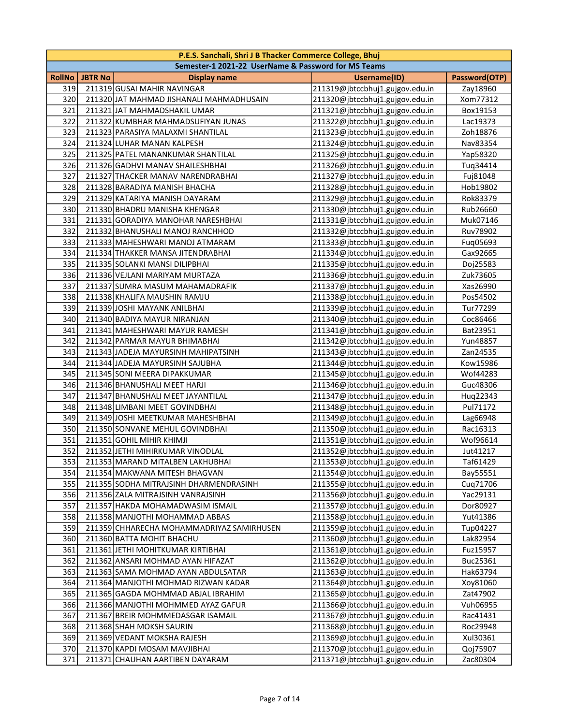|        | P.E.S. Sanchali, Shri J B Thacker Commerce College, Bhuj |                                                     |                                 |               |  |
|--------|----------------------------------------------------------|-----------------------------------------------------|---------------------------------|---------------|--|
|        |                                                          | Semester-1 2021-22 UserName & Password for MS Teams |                                 |               |  |
| RollNo | <b>JBTR No</b>                                           | <b>Display name</b>                                 | Username(ID)                    | Password(OTP) |  |
| 319    |                                                          | 211319 GUSAI MAHIR NAVINGAR                         | 211319@jbtccbhuj1.gujgov.edu.in | Zay18960      |  |
| 320    |                                                          | 211320 JAT MAHMAD JISHANALI MAHMADHUSAIN            | 211320@jbtccbhuj1.gujgov.edu.in | Xom77312      |  |
| 321    |                                                          | 211321 JAT MAHMADSHAKIL UMAR                        | 211321@jbtccbhuj1.gujgov.edu.in | Box19153      |  |
| 322    |                                                          | 211322 KUMBHAR MAHMADSUFIYAN JUNAS                  | 211322@jbtccbhuj1.gujgov.edu.in | Lac19373      |  |
| 323    |                                                          | 211323 PARASIYA MALAXMI SHANTILAL                   | 211323@jbtccbhuj1.gujgov.edu.in | Zoh18876      |  |
| 324    |                                                          | 211324 LUHAR MANAN KALPESH                          | 211324@jbtccbhuj1.gujgov.edu.in | Nav83354      |  |
| 325    |                                                          | 211325 PATEL MANANKUMAR SHANTILAL                   | 211325@jbtccbhuj1.gujgov.edu.in | Yap58320      |  |
| 326    |                                                          | 211326 GADHVI MANAV SHAILESHBHAI                    | 211326@jbtccbhuj1.gujgov.edu.in | Tuq34414      |  |
| 327    |                                                          | 211327 THACKER MANAV NARENDRABHAI                   | 211327@jbtccbhuj1.gujgov.edu.in | Fuj81048      |  |
| 328    |                                                          | 211328 BARADIYA MANISH BHACHA                       | 211328@jbtccbhuj1.gujgov.edu.in | Hob19802      |  |
| 329    |                                                          | 211329 KATARIYA MANISH DAYARAM                      | 211329@jbtccbhuj1.gujgov.edu.in | Rok83379      |  |
| 330    |                                                          | 211330 BHADRU MANISHA KHENGAR                       | 211330@jbtccbhuj1.gujgov.edu.in | Rub26660      |  |
| 331    |                                                          | 211331 GORADIYA MANOHAR NARESHBHAI                  | 211331@jbtccbhuj1.gujgov.edu.in | Muk07146      |  |
| 332    |                                                          | 211332 BHANUSHALI MANOJ RANCHHOD                    | 211332@jbtccbhuj1.gujgov.edu.in | Ruv78902      |  |
| 333    |                                                          | 211333 MAHESHWARI MANOJ ATMARAM                     | 211333@jbtccbhuj1.gujgov.edu.in | Fuq05693      |  |
| 334    |                                                          | 211334 THAKKER MANSA JITENDRABHAI                   | 211334@jbtccbhuj1.gujgov.edu.in | Gax92665      |  |
| 335    |                                                          | 211335 SOLANKI MANSI DILIPBHAI                      | 211335@jbtccbhuj1.gujgov.edu.in | Doj25583      |  |
| 336    |                                                          | 211336 VEJLANI MARIYAM MURTAZA                      | 211336@jbtccbhuj1.gujgov.edu.in | Zuk73605      |  |
| 337    |                                                          | 211337 SUMRA MASUM MAHAMADRAFIK                     | 211337@jbtccbhuj1.gujgov.edu.in | Xas26990      |  |
| 338    |                                                          | 211338 KHALIFA MAUSHIN RAMJU                        | 211338@jbtccbhuj1.gujgov.edu.in | Pos54502      |  |
| 339    |                                                          | 211339 JOSHI MAYANK ANILBHAI                        | 211339@jbtccbhuj1.gujgov.edu.in | Tur77299      |  |
| 340    |                                                          | 211340 BADIYA MAYUR NIRANJAN                        | 211340@jbtccbhuj1.gujgov.edu.in | Coc86466      |  |
| 341    |                                                          | 211341 MAHESHWARI MAYUR RAMESH                      | 211341@jbtccbhuj1.gujgov.edu.in | Bat23951      |  |
| 342    |                                                          | 211342 PARMAR MAYUR BHIMABHAI                       | 211342@jbtccbhuj1.gujgov.edu.in | Yun48857      |  |
| 343    |                                                          | 211343 JADEJA MAYURSINH MAHIPATSINH                 | 211343@jbtccbhuj1.gujgov.edu.in | Zan24535      |  |
| 344    |                                                          | 211344 JADEJA MAYURSINH SAJUBHA                     | 211344@jbtccbhuj1.gujgov.edu.in | Kow15986      |  |
| 345    |                                                          | 211345 SONI MEERA DIPAKKUMAR                        | 211345@jbtccbhuj1.gujgov.edu.in | Wof44283      |  |
| 346    |                                                          | 211346 BHANUSHALI MEET HARJI                        | 211346@jbtccbhuj1.gujgov.edu.in | Guc48306      |  |
| 347    |                                                          | 211347 BHANUSHALI MEET JAYANTILAL                   | 211347@jbtccbhuj1.gujgov.edu.in | Huq22343      |  |
| 348    |                                                          | 211348 LIMBANI MEET GOVINDBHAI                      | 211348@jbtccbhuj1.gujgov.edu.in | Pul71172      |  |
| 349    |                                                          | 211349 JOSHI MEETKUMAR MAHESHBHAI                   | 211349@jbtccbhuj1.gujgov.edu.in | Lag66948      |  |
| 350    |                                                          | 211350 SONVANE MEHUL GOVINDBHAI                     | 211350@jbtccbhuj1.gujgov.edu.in | Rac16313      |  |
| 351    |                                                          | 211351 GOHIL MIHIR KHIMJI                           | 211351@jbtccbhuj1.gujgov.edu.in | Wof96614      |  |
| 352    |                                                          | 211352 JETHI MIHIRKUMAR VINODLAL                    | 211352@jbtccbhuj1.gujgov.edu.in | Jut41217      |  |
| 353    |                                                          | 211353 MARAND MITALBEN LAKHUBHAI                    | 211353@jbtccbhuj1.gujgov.edu.in | Taf61429      |  |
| 354    |                                                          | 211354 MAKWANA MITESH BHAGVAN                       | 211354@jbtccbhuj1.gujgov.edu.in | Bay55551      |  |
| 355    |                                                          | 211355 SODHA MITRAJSINH DHARMENDRASINH              | 211355@jbtccbhuj1.gujgov.edu.in | Cuq71706      |  |
| 356    |                                                          | 211356 ZALA MITRAJSINH VANRAJSINH                   | 211356@jbtccbhuj1.gujgov.edu.in | Yac29131      |  |
| 357    |                                                          | 211357 HAKDA MOHAMADWASIM ISMAIL                    | 211357@jbtccbhuj1.gujgov.edu.in | Dor80927      |  |
| 358    |                                                          | 211358 MANJOTHI MOHAMMAD ABBAS                      | 211358@jbtccbhuj1.gujgov.edu.in | Yut41386      |  |
| 359    |                                                          | 211359 CHHARECHA MOHAMMADRIYAZ SAMIRHUSEN           | 211359@jbtccbhuj1.gujgov.edu.in | Tup04227      |  |
| 360    |                                                          | 211360 BATTA MOHIT BHACHU                           | 211360@jbtccbhuj1.gujgov.edu.in | Lak82954      |  |
| 361    |                                                          | 211361 JETHI MOHITKUMAR KIRTIBHAI                   | 211361@jbtccbhuj1.gujgov.edu.in | Fuz15957      |  |
| 362    |                                                          | 211362 ANSARI MOHMAD AYAN HIFAZAT                   | 211362@jbtccbhuj1.gujgov.edu.in | Buc25361      |  |
| 363    |                                                          | 211363 SAMA MOHMAD AYAN ABDULSATAR                  | 211363@jbtccbhuj1.gujgov.edu.in | Hak63794      |  |
| 364    |                                                          | 211364 MANJOTHI MOHMAD RIZWAN KADAR                 | 211364@jbtccbhuj1.gujgov.edu.in | Xoy81060      |  |
| 365    |                                                          | 211365 GAGDA MOHMMAD ABJAL IBRAHIM                  | 211365@jbtccbhuj1.gujgov.edu.in | Zat47902      |  |
| 366    |                                                          | 211366 MANJOTHI MOHMMED AYAZ GAFUR                  | 211366@jbtccbhuj1.gujgov.edu.in | Vuh06955      |  |
| 367    |                                                          | 211367 BREIR MOHMMEDASGAR ISAMAIL                   | 211367@jbtccbhuj1.gujgov.edu.in | Rac41431      |  |
| 368    |                                                          | 211368 SHAH MOKSH SAURIN                            | 211368@jbtccbhuj1.gujgov.edu.in | Roc29948      |  |
| 369    |                                                          | 211369 VEDANT MOKSHA RAJESH                         | 211369@jbtccbhuj1.gujgov.edu.in | Xul30361      |  |
| 370    |                                                          | 211370 KAPDI MOSAM MAVJIBHAI                        | 211370@jbtccbhuj1.gujgov.edu.in | Qoj75907      |  |
| 371    |                                                          | 211371 CHAUHAN AARTIBEN DAYARAM                     | 211371@jbtccbhuj1.gujgov.edu.in | Zac80304      |  |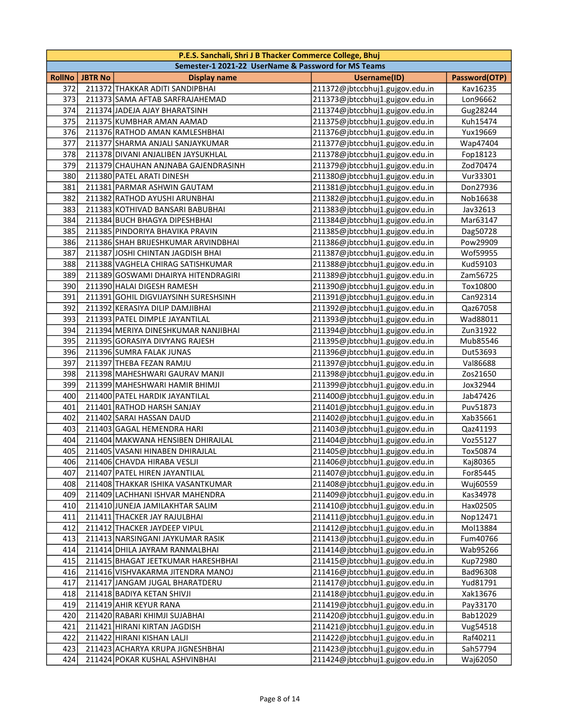|        | P.E.S. Sanchali, Shri J B Thacker Commerce College, Bhuj |                                                     |                                 |               |  |
|--------|----------------------------------------------------------|-----------------------------------------------------|---------------------------------|---------------|--|
|        |                                                          | Semester-1 2021-22 UserName & Password for MS Teams |                                 |               |  |
| RollNo | <b>JBTR No</b>                                           | <b>Display name</b>                                 | Username(ID)                    | Password(OTP) |  |
| 372    |                                                          | 211372 THAKKAR ADITI SANDIPBHAI                     | 211372@jbtccbhuj1.gujgov.edu.in | Kav16235      |  |
| 373    |                                                          | 211373 SAMA AFTAB SARFRAJAHEMAD                     | 211373@jbtccbhuj1.gujgov.edu.in | Lon96662      |  |
| 374    |                                                          | 211374 JADEJA AJAY BHARATSINH                       | 211374@jbtccbhuj1.gujgov.edu.in | Gug28244      |  |
| 375    |                                                          | 211375 KUMBHAR AMAN AAMAD                           | 211375@jbtccbhuj1.gujgov.edu.in | Kuh15474      |  |
| 376    |                                                          | 211376 RATHOD AMAN KAMLESHBHAI                      | 211376@jbtccbhuj1.gujgov.edu.in | Yux19669      |  |
| 377    |                                                          | 211377 SHARMA ANJALI SANJAYKUMAR                    | 211377@jbtccbhuj1.gujgov.edu.in | Wap47404      |  |
| 378    |                                                          | 211378 DIVANI ANJALIBEN JAYSUKHLAL                  | 211378@jbtccbhuj1.gujgov.edu.in | Fop18123      |  |
| 379    |                                                          | 211379 CHAUHAN ANJNABA GAJENDRASINH                 | 211379@jbtccbhuj1.gujgov.edu.in | Zod70474      |  |
| 380    |                                                          | 211380 PATEL ARATI DINESH                           | 211380@jbtccbhuj1.gujgov.edu.in | Vur33301      |  |
| 381    |                                                          | 211381 PARMAR ASHWIN GAUTAM                         | 211381@jbtccbhuj1.gujgov.edu.in | Don27936      |  |
| 382    |                                                          | 211382 RATHOD AYUSHI ARUNBHAI                       | 211382@jbtccbhuj1.gujgov.edu.in | Nob16638      |  |
| 383    |                                                          | 211383 KOTHIVAD BANSARI BABUBHAI                    | 211383@jbtccbhuj1.gujgov.edu.in | Jav32613      |  |
| 384    |                                                          | 211384 BUCH BHAGYA DIPESHBHAI                       | 211384@jbtccbhuj1.gujgov.edu.in | Mar63147      |  |
| 385    |                                                          | 211385 PINDORIYA BHAVIKA PRAVIN                     | 211385@jbtccbhuj1.gujgov.edu.in | Dag50728      |  |
| 386    |                                                          | 211386 SHAH BRIJESHKUMAR ARVINDBHAI                 | 211386@jbtccbhuj1.gujgov.edu.in | Pow29909      |  |
| 387    |                                                          | 211387 JOSHI CHINTAN JAGDISH BHAI                   | 211387@jbtccbhuj1.gujgov.edu.in | Wof59955      |  |
| 388    |                                                          | 211388 VAGHELA CHIRAG SATISHKUMAR                   | 211388@jbtccbhuj1.gujgov.edu.in | Kud59103      |  |
| 389    |                                                          | 211389 GOSWAMI DHAIRYA HITENDRAGIRI                 | 211389@jbtccbhuj1.gujgov.edu.in | Zam56725      |  |
| 390    |                                                          | 211390 HALAI DIGESH RAMESH                          | 211390@jbtccbhuj1.gujgov.edu.in | Tox10800      |  |
| 391    |                                                          | 211391 GOHIL DIGVIJAYSINH SURESHSINH                | 211391@jbtccbhuj1.gujgov.edu.in | Can92314      |  |
| 392    |                                                          | 211392 KERASIYA DILIP DAMJIBHAI                     | 211392@jbtccbhuj1.gujgov.edu.in | Qaz67058      |  |
| 393    |                                                          | 211393 PATEL DIMPLE JAYANTILAL                      | 211393@jbtccbhuj1.gujgov.edu.in | Wad88011      |  |
| 394    |                                                          | 211394 MERIYA DINESHKUMAR NANJIBHAI                 | 211394@jbtccbhuj1.gujgov.edu.in | Zun31922      |  |
| 395    |                                                          | 211395 GORASIYA DIVYANG RAJESH                      | 211395@jbtccbhuj1.gujgov.edu.in | Mub85546      |  |
| 396    |                                                          | 211396 SUMRA FALAK JUNAS                            | 211396@jbtccbhuj1.gujgov.edu.in | Dut53693      |  |
| 397    |                                                          | 211397 THEBA FEZAN RAMJU                            | 211397@jbtccbhuj1.gujgov.edu.in | Val86688      |  |
| 398    |                                                          | 211398 MAHESHWARI GAURAV MANJI                      | 211398@jbtccbhuj1.gujgov.edu.in | Zos21650      |  |
| 399    |                                                          | 211399 MAHESHWARI HAMIR BHIMJI                      | 211399@jbtccbhuj1.gujgov.edu.in | Jox32944      |  |
| 400    |                                                          | 211400 PATEL HARDIK JAYANTILAL                      | 211400@jbtccbhuj1.gujgov.edu.in | Jab47426      |  |
| 401    |                                                          | 211401 RATHOD HARSH SANJAY                          | 211401@jbtccbhuj1.gujgov.edu.in | Puv51873      |  |
| 402    |                                                          | 211402 SARAI HASSAN DAUD                            | 211402@jbtccbhuj1.gujgov.edu.in | Xab35661      |  |
| 403    |                                                          | 211403 GAGAL HEMENDRA HARI                          | 211403@jbtccbhuj1.gujgov.edu.in | Qaz41193      |  |
| 404    |                                                          | 211404 MAKWANA HENSIBEN DHIRAJLAL                   | 211404@jbtccbhuj1.gujgov.edu.in | Voz55127      |  |
| 405    |                                                          | 211405 VASANI HINABEN DHIRAJLAL                     | 211405@jbtccbhuj1.gujgov.edu.in | Tox50874      |  |
| 406    |                                                          | 211406 CHAVDA HIRABA VESLJI                         | 211406@jbtccbhuj1.gujgov.edu.in | Kaj80365      |  |
| 407    |                                                          | 211407 PATEL HIREN JAYANTILAL                       | 211407@jbtccbhuj1.gujgov.edu.in | For85445      |  |
| 408    |                                                          | 211408 THAKKAR ISHIKA VASANTKUMAR                   | 211408@jbtccbhuj1.gujgov.edu.in | Wuj60559      |  |
| 409    |                                                          | 211409 LACHHANI ISHVAR MAHENDRA                     | 211409@jbtccbhuj1.gujgov.edu.in | Kas34978      |  |
| 410    |                                                          | 211410 JUNEJA JAMILAKHTAR SALIM                     | 211410@jbtccbhuj1.gujgov.edu.in | Hax02505      |  |
| 411    |                                                          | 211411 THACKER JAY RAJULBHAI                        | 211411@jbtccbhuj1.gujgov.edu.in | Nop12471      |  |
| 412    |                                                          | 211412 THACKER JAYDEEP VIPUL                        | 211412@jbtccbhuj1.gujgov.edu.in | Mol13884      |  |
| 413    |                                                          | 211413 NARSINGANI JAYKUMAR RASIK                    | 211413@jbtccbhuj1.gujgov.edu.in | Fum40766      |  |
| 414    |                                                          | 211414 DHILA JAYRAM RANMALBHAI                      | 211414@jbtccbhuj1.gujgov.edu.in | Wab95266      |  |
| 415    |                                                          | 211415 BHAGAT JEETKUMAR HARESHBHAI                  | 211415@jbtccbhuj1.gujgov.edu.in | Kup72980      |  |
| 416    |                                                          | 211416 VISHVAKARMA JITENDRA MANOJ                   | 211416@jbtccbhuj1.gujgov.edu.in | Bad96308      |  |
| 417    |                                                          | 211417 JANGAM JUGAL BHARATDERU                      | 211417@jbtccbhuj1.gujgov.edu.in | Yud81791      |  |
| 418    |                                                          | 211418 BADIYA KETAN SHIVJI                          | 211418@jbtccbhuj1.gujgov.edu.in | Xak13676      |  |
| 419    |                                                          | 211419 AHIR KEYUR RANA                              | 211419@jbtccbhuj1.gujgov.edu.in | Pay33170      |  |
| 420    |                                                          | 211420 RABARI KHIMJI SUJABHAI                       | 211420@jbtccbhuj1.gujgov.edu.in | Bab12029      |  |
| 421    |                                                          | 211421 HIRANI KIRTAN JAGDISH                        | 211421@jbtccbhuj1.gujgov.edu.in | Vug54518      |  |
| 422    |                                                          | 211422 HIRANI KISHAN LALJI                          | 211422@jbtccbhuj1.gujgov.edu.in | Raf40211      |  |
| 423    |                                                          | 211423 ACHARYA KRUPA JIGNESHBHAI                    | 211423@jbtccbhuj1.gujgov.edu.in | Sah57794      |  |
| 424    |                                                          | 211424 POKAR KUSHAL ASHVINBHAI                      | 211424@jbtccbhuj1.gujgov.edu.in | Waj62050      |  |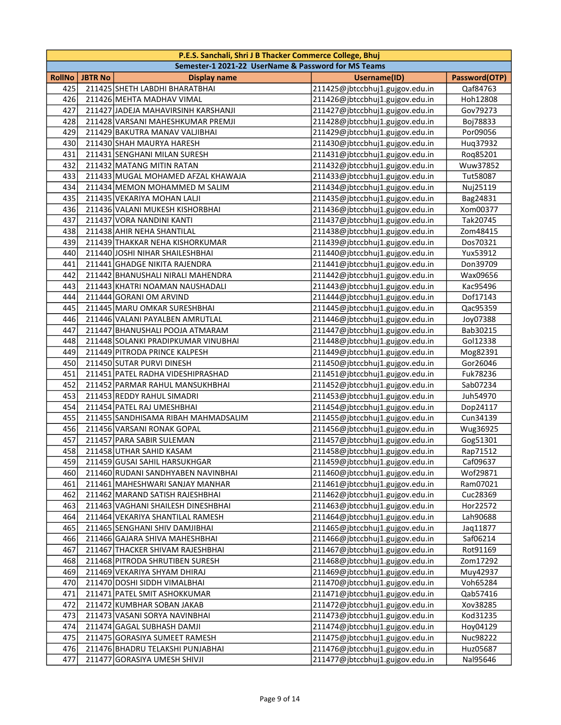|               |                | P.E.S. Sanchali, Shri J B Thacker Commerce College, Bhuj |                                 |               |
|---------------|----------------|----------------------------------------------------------|---------------------------------|---------------|
|               |                | Semester-1 2021-22 UserName & Password for MS Teams      |                                 |               |
| <b>RollNo</b> | <b>JBTR No</b> | <b>Display name</b>                                      | Username(ID)                    | Password(OTP) |
| 425           |                | 211425 SHETH LABDHI BHARATBHAI                           | 211425@jbtccbhuj1.gujgov.edu.in | Qaf84763      |
| 426           |                | 211426 MEHTA MADHAV VIMAL                                | 211426@jbtccbhuj1.gujgov.edu.in | Hoh12808      |
| 427           |                | 211427 JADEJA MAHAVIRSINH KARSHANJI                      | 211427@jbtccbhuj1.gujgov.edu.in | Gov79273      |
| 428           |                | 211428 VARSANI MAHESHKUMAR PREMJI                        | 211428@jbtccbhuj1.gujgov.edu.in | Boj78833      |
| 429           |                | 211429 BAKUTRA MANAV VALJIBHAI                           | 211429@jbtccbhuj1.gujgov.edu.in | Por09056      |
| 430           |                | 211430 SHAH MAURYA HARESH                                | 211430@jbtccbhuj1.gujgov.edu.in | Hug37932      |
| 431           |                | 211431 SENGHANI MILAN SURESH                             | 211431@jbtccbhuj1.gujgov.edu.in | Roq85201      |
| 432           |                | 211432 MATANG MITIN RATAN                                | 211432@jbtccbhuj1.gujgov.edu.in | Wuw37852      |
| 433           |                | 211433 MUGAL MOHAMED AFZAL KHAWAJA                       | 211433@jbtccbhuj1.gujgov.edu.in | Tut58087      |
| 434           |                | 211434 MEMON MOHAMMED M SALIM                            | 211434@jbtccbhuj1.gujgov.edu.in | Nuj25119      |
| 435           |                | 211435 VEKARIYA MOHAN LALJI                              | 211435@jbtccbhuj1.gujgov.edu.in | Bag24831      |
| 436           |                | 211436 VALANI MUKESH KISHORBHAI                          | 211436@jbtccbhuj1.gujgov.edu.in | Xom00377      |
| 437           |                | 211437 VORA NANDINI KANTI                                | 211437@jbtccbhuj1.gujgov.edu.in | Tak20745      |
| 438           |                | 211438 AHIR NEHA SHANTILAL                               | 211438@jbtccbhuj1.gujgov.edu.in | Zom48415      |
| 439           |                | 211439 THAKKAR NEHA KISHORKUMAR                          | 211439@jbtccbhuj1.gujgov.edu.in | Dos70321      |
| 440           |                | 211440 JOSHI NIHAR SHAILESHBHAI                          | 211440@jbtccbhuj1.gujgov.edu.in | Yux53912      |
| 441           |                | 211441 GHADGE NIKITA RAJENDRA                            | 211441@jbtccbhuj1.gujgov.edu.in | Don39709      |
| 442           |                | 211442 BHANUSHALI NIRALI MAHENDRA                        | 211442@jbtccbhuj1.gujgov.edu.in | Wax09656      |
| 443           |                | 211443 KHATRI NOAMAN NAUSHADALI                          | 211443@jbtccbhuj1.gujgov.edu.in | Kac95496      |
| 444           |                | 211444 GORANI OM ARVIND                                  | 211444@jbtccbhuj1.gujgov.edu.in | Dof17143      |
| 445           |                | 211445 MARU OMKAR SURESHBHAI                             | 211445@jbtccbhuj1.gujgov.edu.in | Qac95359      |
| 446           |                | 211446 VALANI PAYALBEN AMRUTLAL                          | 211446@jbtccbhuj1.gujgov.edu.in | Joy07388      |
| 447           |                | 211447 BHANUSHALI POOJA ATMARAM                          | 211447@jbtccbhuj1.gujgov.edu.in | Bab30215      |
| 448           |                | 211448 SOLANKI PRADIPKUMAR VINUBHAI                      | 211448@jbtccbhuj1.gujgov.edu.in | Gol12338      |
| 449           |                | 211449 PITRODA PRINCE KALPESH                            | 211449@jbtccbhuj1.gujgov.edu.in | Mog82391      |
| 450           |                | 211450 SUTAR PURVI DINESH                                | 211450@jbtccbhuj1.gujgov.edu.in | Gor26046      |
| 451           |                | 211451 PATEL RADHA VIDESHIPRASHAD                        | 211451@jbtccbhuj1.gujgov.edu.in | Fuk78236      |
| 452           |                | 211452 PARMAR RAHUL MANSUKHBHAI                          | 211452@jbtccbhuj1.gujgov.edu.in | Sab07234      |
| 453           |                | 211453 REDDY RAHUL SIMADRI                               | 211453@jbtccbhuj1.gujgov.edu.in | Juh54970      |
| 454           |                | 211454 PATEL RAJ UMESHBHAI                               | 211454@jbtccbhuj1.gujgov.edu.in | Dop24117      |
| 455           |                | 211455 SANDHISAMA RIBAH MAHMADSALIM                      | 211455@jbtccbhuj1.gujgov.edu.in | Cun34139      |
| 456           |                | 211456 VARSANI RONAK GOPAL                               | 211456@jbtccbhuj1.gujgov.edu.in | Wug36925      |
| 457           |                | 211457 PARA SABIR SULEMAN                                | 211457@jbtccbhuj1.gujgov.edu.in | Gog51301      |
| 458           |                | 211458 UTHAR SAHID KASAM                                 | 211458@jbtccbhuj1.gujgov.edu.in | Rap71512      |
| 459           |                | 211459 GUSAI SAHIL HARSUKHGAR                            | 211459@jbtccbhuj1.gujgov.edu.in | Caf09637      |
| 460           |                | 211460 RUDANI SANDHYABEN NAVINBHAI                       | 211460@jbtccbhuj1.gujgov.edu.in | Wof29871      |
| 461           |                | 211461 MAHESHWARI SANJAY MANHAR                          | 211461@jbtccbhuj1.gujgov.edu.in | Ram07021      |
| 462           |                | 211462 MARAND SATISH RAJESHBHAI                          | 211462@jbtccbhuj1.gujgov.edu.in | Cuc28369      |
| 463           |                | 211463 VAGHANI SHAILESH DINESHBHAI                       | 211463@jbtccbhuj1.gujgov.edu.in | Hor22572      |
| 464           |                | 211464 VEKARIYA SHANTILAL RAMESH                         | 211464@jbtccbhuj1.gujgov.edu.in | Lah90688      |
| 465           |                | 211465 SENGHANI SHIV DAMJIBHAI                           | 211465@jbtccbhuj1.gujgov.edu.in | Jaq11877      |
| 466           |                | 211466 GAJARA SHIVA MAHESHBHAI                           | 211466@jbtccbhuj1.gujgov.edu.in | Saf06214      |
| 467           |                | 211467 THACKER SHIVAM RAJESHBHAI                         | 211467@jbtccbhuj1.gujgov.edu.in | Rot91169      |
| 468           |                | 211468 PITRODA SHRUTIBEN SURESH                          | 211468@jbtccbhuj1.gujgov.edu.in | Zom17292      |
| 469           |                | 211469 VEKARIYA SHYAM DHIRAJ                             | 211469@jbtccbhuj1.gujgov.edu.in | Muy42937      |
| 470           |                | 211470 DOSHI SIDDH VIMALBHAI                             | 211470@jbtccbhuj1.gujgov.edu.in | Voh65284      |
| 471           |                | 211471 PATEL SMIT ASHOKKUMAR                             | 211471@jbtccbhuj1.gujgov.edu.in | Qab57416      |
| 472           |                | 211472 KUMBHAR SOBAN JAKAB                               | 211472@jbtccbhuj1.gujgov.edu.in | Xov38285      |
| 473           |                | 211473 VASANI SORYA NAVINBHAI                            | 211473@jbtccbhuj1.gujgov.edu.in | Kod31235      |
| 474           |                | 211474 GAGAL SUBHASH DAMJI                               | 211474@jbtccbhuj1.gujgov.edu.in | Hoy04129      |
| 475           |                | 211475 GORASIYA SUMEET RAMESH                            | 211475@jbtccbhuj1.gujgov.edu.in | Nuc98222      |
| 476           |                | 211476 BHADRU TELAKSHI PUNJABHAI                         | 211476@jbtccbhuj1.gujgov.edu.in | Huz05687      |
| 477           |                | 211477 GORASIYA UMESH SHIVJI                             | 211477@jbtccbhuj1.gujgov.edu.in | Nal95646      |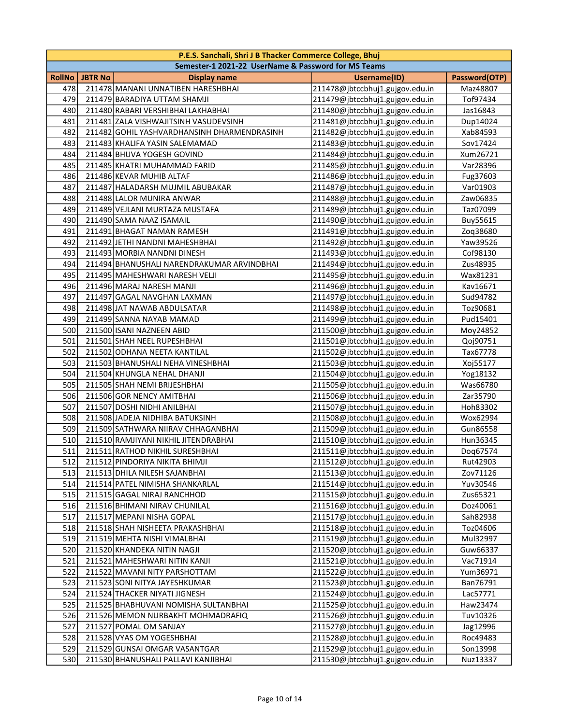|               |                | P.E.S. Sanchali, Shri J B Thacker Commerce College, Bhuj |                                 |               |
|---------------|----------------|----------------------------------------------------------|---------------------------------|---------------|
|               |                | Semester-1 2021-22 UserName & Password for MS Teams      |                                 |               |
| <b>RollNo</b> | <b>JBTR No</b> | <b>Display name</b>                                      | Username(ID)                    | Password(OTP) |
| 478           |                | 211478 MANANI UNNATIBEN HARESHBHAI                       | 211478@jbtccbhuj1.gujgov.edu.in | Maz48807      |
| 479           |                | 211479 BARADIYA UTTAM SHAMJI                             | 211479@jbtccbhuj1.gujgov.edu.in | Tof97434      |
| 480           |                | 211480 RABARI VERSHIBHAI LAKHABHAI                       | 211480@jbtccbhuj1.gujgov.edu.in | Jas16843      |
| 481           |                | 211481 ZALA VISHWAJITSINH VASUDEVSINH                    | 211481@jbtccbhuj1.gujgov.edu.in | Dup14024      |
| 482           |                | 211482 GOHIL YASHVARDHANSINH DHARMENDRASINH              | 211482@jbtccbhuj1.gujgov.edu.in | Xab84593      |
| 483           |                | 211483 KHALIFA YASIN SALEMAMAD                           | 211483@jbtccbhuj1.gujgov.edu.in | Sov17424      |
| 484           |                | 211484 BHUVA YOGESH GOVIND                               | 211484@jbtccbhuj1.gujgov.edu.in | Xum26721      |
| 485           |                | 211485 KHATRI MUHAMMAD FARID                             | 211485@jbtccbhuj1.gujgov.edu.in | Var28396      |
| 486           |                | 211486 KEVAR MUHIB ALTAF                                 | 211486@jbtccbhuj1.gujgov.edu.in | Fug37603      |
| 487           |                | 211487 HALADARSH MUJMIL ABUBAKAR                         | 211487@jbtccbhuj1.gujgov.edu.in | Var01903      |
| 488           |                | 211488 LALOR MUNIRA ANWAR                                | 211488@jbtccbhuj1.gujgov.edu.in | Zaw06835      |
| 489           |                | 211489 VEJLANI MURTAZA MUSTAFA                           | 211489@jbtccbhuj1.gujgov.edu.in | Taz07099      |
| 490           |                | 211490 SAMA NAAZ ISAMAIL                                 | 211490@jbtccbhuj1.gujgov.edu.in | Buy55615      |
| 491           |                | 211491 BHAGAT NAMAN RAMESH                               | 211491@jbtccbhuj1.gujgov.edu.in | Zoq38680      |
| 492           |                | 211492 JETHI NANDNI MAHESHBHAI                           | 211492@jbtccbhuj1.gujgov.edu.in | Yaw39526      |
| 493           |                | 211493 MORBIA NANDNI DINESH                              | 211493@jbtccbhuj1.gujgov.edu.in | Cof98130      |
| 494           |                | 211494 BHANUSHALI NARENDRAKUMAR ARVINDBHAI               | 211494@jbtccbhuj1.gujgov.edu.in | Zus48935      |
| 495           |                | 211495 MAHESHWARI NARESH VELJI                           | 211495@jbtccbhuj1.gujgov.edu.in | Wax81231      |
| 496           |                | 211496 MARAJ NARESH MANJI                                | 211496@jbtccbhuj1.gujgov.edu.in | Kav16671      |
| 497           |                | 211497 GAGAL NAVGHAN LAXMAN                              | 211497@jbtccbhuj1.gujgov.edu.in | Sud94782      |
| 498           |                | 211498 JAT NAWAB ABDULSATAR                              | 211498@jbtccbhuj1.gujgov.edu.in | Toz90681      |
| 499           |                | 211499 SANNA NAYAB MAMAD                                 | 211499@jbtccbhuj1.gujgov.edu.in | Pud15401      |
| 500           |                | 211500 ISANI NAZNEEN ABID                                | 211500@jbtccbhuj1.gujgov.edu.in | Moy24852      |
| 501           |                | 211501 SHAH NEEL RUPESHBHAI                              | 211501@jbtccbhuj1.gujgov.edu.in | Qoj90751      |
| 502           |                | 211502 ODHANA NEETA KANTILAL                             | 211502@jbtccbhuj1.gujgov.edu.in | Tax67778      |
| 503           |                | 211503 BHANUSHALI NEHA VINESHBHAI                        | 211503@jbtccbhuj1.gujgov.edu.in | Xoj55177      |
| 504           |                | 211504 KHUNGLA NEHAL DHANJI                              | 211504@jbtccbhuj1.gujgov.edu.in | Yog18132      |
| 505           |                | 211505 SHAH NEMI BRIJESHBHAI                             | 211505@jbtccbhuj1.gujgov.edu.in | Was66780      |
| 506           |                | 211506 GOR NENCY AMITBHAI                                | 211506@jbtccbhuj1.gujgov.edu.in | Zar35790      |
| 507           |                | 211507 DOSHI NIDHI ANILBHAI                              | 211507@jbtccbhuj1.gujgov.edu.in | Hoh83302      |
| 508           |                | 211508 JADEJA NIDHIBA BATUKSINH                          | 211508@jbtccbhuj1.gujgov.edu.in | Wox62994      |
| 509           |                | 211509 SATHWARA NIIRAV CHHAGANBHAI                       | 211509@jbtccbhuj1.gujgov.edu.in | Gun86558      |
| 510           |                | 211510 RAMJIYANI NIKHIL JITENDRABHAI                     | 211510@jbtccbhuj1.gujgov.edu.in | Hun36345      |
| 511           |                | 211511 RATHOD NIKHIL SURESHBHAI                          | 211511@jbtccbhuj1.gujgov.edu.in | Dog67574      |
| 512           |                | 211512 PINDORIYA NIKITA BHIMJI                           | 211512@jbtccbhuj1.gujgov.edu.in | Rut42903      |
| 513           |                | 211513 DHILA NILESH SAJANBHAI                            | 211513@jbtccbhuj1.gujgov.edu.in | Zov71126      |
| 514           |                | 211514 PATEL NIMISHA SHANKARLAL                          | 211514@jbtccbhuj1.gujgov.edu.in | Yuv30546      |
| 515           |                | 211515 GAGAL NIRAJ RANCHHOD                              | 211515@jbtccbhuj1.gujgov.edu.in | Zus65321      |
| 516           |                | 211516 BHIMANI NIRAV CHUNILAL                            | 211516@jbtccbhuj1.gujgov.edu.in | Doz40061      |
| 517           |                | 211517 MEPANI NISHA GOPAL                                | 211517@jbtccbhuj1.gujgov.edu.in | Sah82938      |
| 518           |                | 211518 SHAH NISHEETA PRAKASHBHAI                         | 211518@jbtccbhuj1.gujgov.edu.in | Toz04606      |
| 519           |                | 211519 MEHTA NISHI VIMALBHAI                             | 211519@jbtccbhuj1.gujgov.edu.in | Mul32997      |
| 520           |                | 211520 KHANDEKA NITIN NAGJI                              | 211520@jbtccbhuj1.gujgov.edu.in | Guw66337      |
| 521           |                | 211521 MAHESHWARI NITIN KANJI                            | 211521@jbtccbhuj1.gujgov.edu.in | Vac71914      |
| 522           |                | 211522 MAVANI NITY PARSHOTTAM                            | 211522@jbtccbhuj1.gujgov.edu.in | Yum36971      |
| 523           |                | 211523 SONI NITYA JAYESHKUMAR                            | 211523@jbtccbhuj1.gujgov.edu.in | Ban76791      |
| 524           |                | 211524 THACKER NIYATI JIGNESH                            | 211524@jbtccbhuj1.gujgov.edu.in | Lac57771      |
| 525           |                | 211525 BHABHUVANI NOMISHA SULTANBHAI                     | 211525@jbtccbhuj1.gujgov.edu.in | Haw23474      |
| 526           |                | 211526 MEMON NURBAKHT MOHMADRAFIQ                        | 211526@jbtccbhuj1.gujgov.edu.in | Tuv10326      |
| 527           |                | 211527 POMAL OM SANJAY                                   | 211527@jbtccbhuj1.gujgov.edu.in | Jag12996      |
| 528           |                | 211528 VYAS OM YOGESHBHAI                                | 211528@jbtccbhuj1.gujgov.edu.in | Roc49483      |
| 529           |                | 211529 GUNSAI OMGAR VASANTGAR                            | 211529@jbtccbhuj1.gujgov.edu.in | Son13998      |
| 530           |                | 211530 BHANUSHALI PALLAVI KANJIBHAI                      | 211530@jbtccbhuj1.gujgov.edu.in | Nuz13337      |
|               |                |                                                          |                                 |               |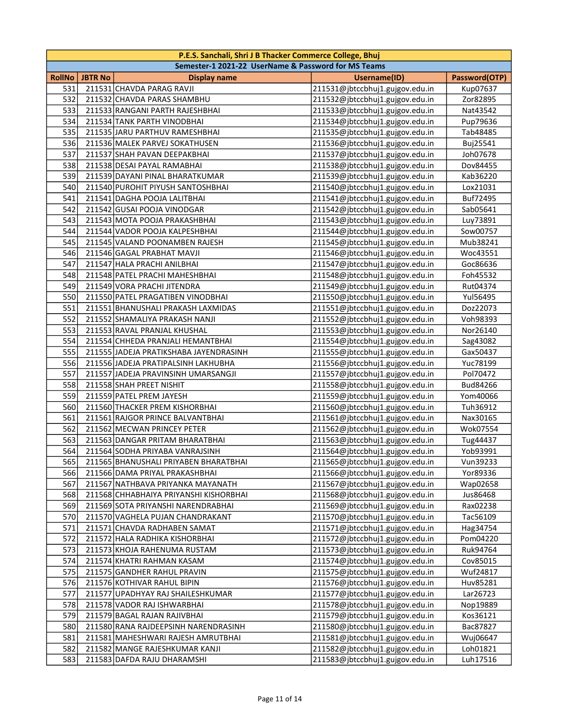|        |                | P.E.S. Sanchali, Shri J B Thacker Commerce College, Bhuj |                                 |               |
|--------|----------------|----------------------------------------------------------|---------------------------------|---------------|
|        |                | Semester-1 2021-22 UserName & Password for MS Teams      |                                 |               |
| RollNo | <b>JBTR No</b> | <b>Display name</b>                                      | Username(ID)                    | Password(OTP) |
| 531    |                | 211531 CHAVDA PARAG RAVJI                                | 211531@jbtccbhuj1.gujgov.edu.in | Kup07637      |
| 532    |                | 211532 CHAVDA PARAS SHAMBHU                              | 211532@jbtccbhuj1.gujgov.edu.in | Zor82895      |
| 533    |                | 211533 RANGANI PARTH RAJESHBHAI                          | 211533@jbtccbhuj1.gujgov.edu.in | Nat43542      |
| 534    |                | 211534 TANK PARTH VINODBHAI                              | 211534@jbtccbhuj1.gujgov.edu.in | Pup79636      |
| 535    |                | 211535 JARU PARTHUV RAMESHBHAI                           | 211535@jbtccbhuj1.gujgov.edu.in | Tab48485      |
| 536    |                | 211536 MALEK PARVEJ SOKATHUSEN                           | 211536@jbtccbhuj1.gujgov.edu.in | Buj25541      |
| 537    |                | 211537 SHAH PAVAN DEEPAKBHAI                             | 211537@jbtccbhuj1.gujgov.edu.in | Joh07678      |
| 538    |                | 211538 DESAI PAYAL RAMABHAI                              | 211538@jbtccbhuj1.gujgov.edu.in | Dov84455      |
| 539    |                | 211539 DAYANI PINAL BHARATKUMAR                          | 211539@jbtccbhuj1.gujgov.edu.in | Kab36220      |
| 540    |                | 211540 PUROHIT PIYUSH SANTOSHBHAI                        | 211540@jbtccbhuj1.gujgov.edu.in | Lox21031      |
| 541    |                | 211541 DAGHA POOJA LALITBHAI                             | 211541@jbtccbhuj1.gujgov.edu.in | Buf72495      |
| 542    |                | 211542 GUSAI POOJA VINODGAR                              | 211542@jbtccbhuj1.gujgov.edu.in | Sab05641      |
| 543    |                | 211543 MOTA POOJA PRAKASHBHAI                            | 211543@jbtccbhuj1.gujgov.edu.in | Luy73891      |
| 544    |                | 211544 VADOR POOJA KALPESHBHAI                           | 211544@jbtccbhuj1.gujgov.edu.in | Sow00757      |
| 545    |                | 211545 VALAND POONAMBEN RAJESH                           | 211545@jbtccbhuj1.gujgov.edu.in | Mub38241      |
| 546    |                | 211546 GAGAL PRABHAT MAVJI                               | 211546@jbtccbhuj1.gujgov.edu.in | Woc43551      |
| 547    |                | 211547 HALA PRACHI ANILBHAI                              | 211547@jbtccbhuj1.gujgov.edu.in | Goc86636      |
| 548    |                | 211548 PATEL PRACHI MAHESHBHAI                           | 211548@jbtccbhuj1.gujgov.edu.in | Foh45532      |
| 549    |                | 211549 VORA PRACHI JITENDRA                              | 211549@jbtccbhuj1.gujgov.edu.in | Rut04374      |
| 550    |                | 211550 PATEL PRAGATIBEN VINODBHAI                        | 211550@jbtccbhuj1.gujgov.edu.in | Yul56495      |
| 551    |                | 211551 BHANUSHALI PRAKASH LAXMIDAS                       | 211551@jbtccbhuj1.gujgov.edu.in | Doz22073      |
| 552    |                | 211552 SHAMALIYA PRAKASH NANJI                           | 211552@jbtccbhuj1.gujgov.edu.in | Voh98393      |
| 553    |                | 211553 RAVAL PRANJAL KHUSHAL                             | 211553@jbtccbhuj1.gujgov.edu.in | Nor26140      |
| 554    |                | 211554 CHHEDA PRANJALI HEMANTBHAI                        | 211554@jbtccbhuj1.gujgov.edu.in | Sag43082      |
| 555    |                | 211555 JADEJA PRATIKSHABA JAYENDRASINH                   | 211555@jbtccbhuj1.gujgov.edu.in | Gax50437      |
| 556    |                | 211556 JADEJA PRATIPALSINH LAKHUBHA                      | 211556@jbtccbhuj1.gujgov.edu.in | Yuc78199      |
| 557    |                | 211557 JADEJA PRAVINSINH UMARSANGJI                      | 211557@jbtccbhuj1.gujgov.edu.in | Pol70472      |
| 558    |                | 211558 SHAH PREET NISHIT                                 | 211558@jbtccbhuj1.gujgov.edu.in | Bud84266      |
| 559    |                | 211559 PATEL PREM JAYESH                                 | 211559@jbtccbhuj1.gujgov.edu.in | Yom40066      |
| 560    |                | 211560 THACKER PREM KISHORBHAI                           | 211560@jbtccbhuj1.gujgov.edu.in | Tuh36912      |
| 561    |                | 211561 RAJGOR PRINCE BALVANTBHAI                         | 211561@jbtccbhuj1.gujgov.edu.in | Nax30165      |
| 562    |                | 211562 MECWAN PRINCEY PETER                              | 211562@jbtccbhuj1.gujgov.edu.in | Wok07554      |
| 563    |                | 211563 DANGAR PRITAM BHARATBHAI                          | 211563@jbtccbhuj1.gujgov.edu.in | Tug44437      |
| 564    |                | 211564 SODHA PRIYABA VANRAJSINH                          | 211564@jbtccbhuj1.gujgov.edu.in | Yob93991      |
| 565    |                | 211565 BHANUSHALI PRIYABEN BHARATBHAI                    | 211565@jbtccbhuj1.gujgov.edu.in | Vun39233      |
| 566    |                | 211566 DAMA PRIYAL PRAKASHBHAI                           | 211566@jbtccbhuj1.gujgov.edu.in | Yor89336      |
| 567    |                | 211567 NATHBAVA PRIYANKA MAYANATH                        | 211567@jbtccbhuj1.gujgov.edu.in | Wap02658      |
| 568    |                | 211568 CHHABHAIYA PRIYANSHI KISHORBHAI                   | 211568@jbtccbhuj1.gujgov.edu.in | Jus86468      |
| 569    |                | 211569 SOTA PRIYANSHI NARENDRABHAI                       | 211569@jbtccbhuj1.gujgov.edu.in | Rax02238      |
| 570    |                | 211570 VAGHELA PUJAN CHANDRAKANT                         | 211570@jbtccbhuj1.gujgov.edu.in | Tac56109      |
| 571    |                | 211571 CHAVDA RADHABEN SAMAT                             | 211571@jbtccbhuj1.gujgov.edu.in | Hag34754      |
| 572    |                | 211572 HALA RADHIKA KISHORBHAI                           | 211572@jbtccbhuj1.gujgov.edu.in | Pom04220      |
| 573    |                | 211573 KHOJA RAHENUMA RUSTAM                             | 211573@jbtccbhuj1.gujgov.edu.in | Ruk94764      |
| 574    |                | 211574 KHATRI RAHMAN KASAM                               | 211574@jbtccbhuj1.gujgov.edu.in | Cov85015      |
| 575    |                | 211575 GANDHER RAHUL PRAVIN                              | 211575@jbtccbhuj1.gujgov.edu.in | Wuf24817      |
| 576    |                | 211576 KOTHIVAR RAHUL BIPIN                              | 211576@jbtccbhuj1.gujgov.edu.in | Huv85281      |
| 577    |                | 211577 UPADHYAY RAJ SHAILESHKUMAR                        | 211577@jbtccbhuj1.gujgov.edu.in | Lar26723      |
| 578    |                | 211578 VADOR RAJ ISHWARBHAI                              | 211578@jbtccbhuj1.gujgov.edu.in | Nop19889      |
| 579    |                | 211579 BAGAL RAJAN RAJIVBHAI                             | 211579@jbtccbhuj1.gujgov.edu.in | Kos36121      |
| 580    |                | 211580 RANA RAJDEEPSINH NARENDRASINH                     | 211580@jbtccbhuj1.gujgov.edu.in | Bac87827      |
| 581    |                | 211581 MAHESHWARI RAJESH AMRUTBHAI                       | 211581@jbtccbhuj1.gujgov.edu.in | Wuj06647      |
| 582    |                | 211582 MANGE RAJESHKUMAR KANJI                           | 211582@jbtccbhuj1.gujgov.edu.in | Loh01821      |
| 583    |                | 211583 DAFDA RAJU DHARAMSHI                              | 211583@jbtccbhuj1.gujgov.edu.in | Luh17516      |
|        |                |                                                          |                                 |               |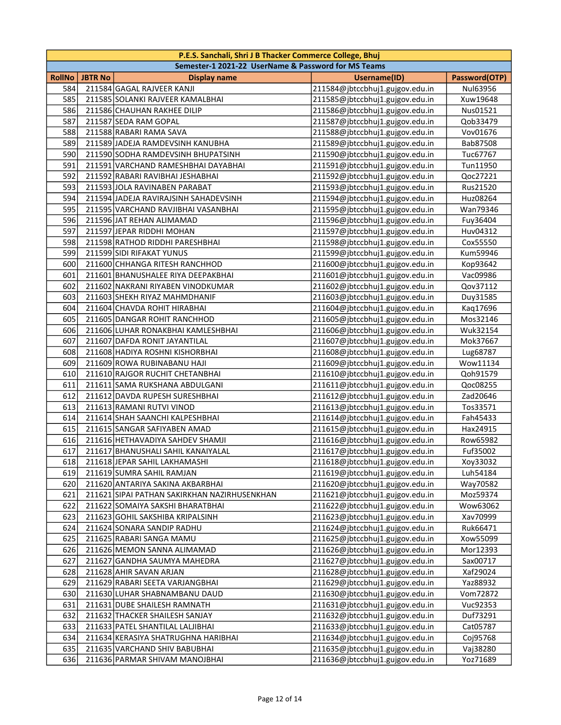|        | P.E.S. Sanchali, Shri J B Thacker Commerce College, Bhuj<br>Semester-1 2021-22 UserName & Password for MS Teams |                                              |                                 |               |  |
|--------|-----------------------------------------------------------------------------------------------------------------|----------------------------------------------|---------------------------------|---------------|--|
| RollNo | <b>JBTR No</b>                                                                                                  | <b>Display name</b>                          | Username(ID)                    | Password(OTP) |  |
| 584    |                                                                                                                 | 211584 GAGAL RAJVEER KANJI                   | 211584@jbtccbhuj1.gujgov.edu.in | Nul63956      |  |
| 585    |                                                                                                                 | 211585 SOLANKI RAJVEER KAMALBHAI             | 211585@jbtccbhuj1.gujgov.edu.in | Xuw19648      |  |
| 586    |                                                                                                                 | 211586 CHAUHAN RAKHEE DILIP                  | 211586@jbtccbhuj1.gujgov.edu.in | Nus01521      |  |
| 587    |                                                                                                                 | 211587 SEDA RAM GOPAL                        | 211587@jbtccbhuj1.gujgov.edu.in | Qob33479      |  |
| 588    |                                                                                                                 | 211588 RABARI RAMA SAVA                      | 211588@jbtccbhuj1.gujgov.edu.in | Vov01676      |  |
| 589    |                                                                                                                 | 211589 JADEJA RAMDEVSINH KANUBHA             | 211589@jbtccbhuj1.gujgov.edu.in | Bab87508      |  |
| 590    |                                                                                                                 | 211590 SODHA RAMDEVSINH BHUPATSINH           | 211590@jbtccbhuj1.gujgov.edu.in | Tuc67767      |  |
| 591    |                                                                                                                 | 211591 VARCHAND RAMESHBHAI DAYABHAI          | 211591@jbtccbhuj1.gujgov.edu.in | Tun11950      |  |
| 592    |                                                                                                                 | 211592 RABARI RAVIBHAI JESHABHAI             | 211592@jbtccbhuj1.gujgov.edu.in | Qoc27221      |  |
| 593    |                                                                                                                 | 211593 JOLA RAVINABEN PARABAT                | 211593@jbtccbhuj1.gujgov.edu.in | Rus21520      |  |
| 594    |                                                                                                                 | 211594 JADEJA RAVIRAJSINH SAHADEVSINH        | 211594@jbtccbhuj1.gujgov.edu.in | Huz08264      |  |
| 595    |                                                                                                                 | 211595 VARCHAND RAVJIBHAI VASANBHAI          | 211595@jbtccbhuj1.gujgov.edu.in | Wan79346      |  |
| 596    |                                                                                                                 | 211596 JAT REHAN ALIMAMAD                    | 211596@jbtccbhuj1.gujgov.edu.in | Fuy36404      |  |
| 597    |                                                                                                                 | 211597 JEPAR RIDDHI MOHAN                    | 211597@jbtccbhuj1.gujgov.edu.in | Huv04312      |  |
| 598    |                                                                                                                 | 211598 RATHOD RIDDHI PARESHBHAI              | 211598@jbtccbhuj1.gujgov.edu.in | Cox55550      |  |
| 599    |                                                                                                                 | 211599 SIDI RIFAKAT YUNUS                    | 211599@jbtccbhuj1.gujgov.edu.in | Kum59946      |  |
| 600    |                                                                                                                 | 211600 CHHANGA RITESH RANCHHOD               | 211600@jbtccbhuj1.gujgov.edu.in | Kop93642      |  |
| 601    |                                                                                                                 | 211601 BHANUSHALEE RIYA DEEPAKBHAI           | 211601@jbtccbhuj1.gujgov.edu.in | Vac09986      |  |
| 602    |                                                                                                                 | 211602 NAKRANI RIYABEN VINODKUMAR            | 211602@jbtccbhuj1.gujgov.edu.in | Qov37112      |  |
| 603    |                                                                                                                 | 211603 SHEKH RIYAZ MAHMDHANIF                | 211603@jbtccbhuj1.gujgov.edu.in | Duy31585      |  |
| 604    |                                                                                                                 | 211604 CHAVDA ROHIT HIRABHAI                 | 211604@jbtccbhuj1.gujgov.edu.in | Kaq17696      |  |
| 605    |                                                                                                                 | 211605 DANGAR ROHIT RANCHHOD                 | 211605@jbtccbhuj1.gujgov.edu.in | Mos32146      |  |
| 606    |                                                                                                                 | 211606 LUHAR RONAKBHAI KAMLESHBHAI           | 211606@jbtccbhuj1.gujgov.edu.in | Wuk32154      |  |
| 607    |                                                                                                                 | 211607 DAFDA RONIT JAYANTILAL                | 211607@jbtccbhuj1.gujgov.edu.in | Mok37667      |  |
| 608    |                                                                                                                 | 211608 HADIYA ROSHNI KISHORBHAI              | 211608@jbtccbhuj1.gujgov.edu.in | Lug68787      |  |
| 609    |                                                                                                                 | 211609 ROWA RUBINABANU HAJI                  | 211609@jbtccbhuj1.gujgov.edu.in | Wow11134      |  |
| 610    |                                                                                                                 | 211610 RAJGOR RUCHIT CHETANBHAI              | 211610@jbtccbhuj1.gujgov.edu.in | Qoh91579      |  |
| 611    |                                                                                                                 | 211611 SAMA RUKSHANA ABDULGANI               | 211611@jbtccbhuj1.gujgov.edu.in | Qoc08255      |  |
| 612    |                                                                                                                 | 211612 DAVDA RUPESH SURESHBHAI               | 211612@jbtccbhuj1.gujgov.edu.in | Zad20646      |  |
| 613    |                                                                                                                 | 211613 RAMANI RUTVI VINOD                    | 211613@jbtccbhuj1.gujgov.edu.in | Tos33571      |  |
| 614    |                                                                                                                 | 211614 SHAH SAANCHI KALPESHBHAI              | 211614@jbtccbhuj1.gujgov.edu.in | Fah45433      |  |
| 615    |                                                                                                                 | 211615 SANGAR SAFIYABEN AMAD                 | 211615@jbtccbhuj1.gujgov.edu.in | Hax24915      |  |
| 616    |                                                                                                                 | 211616 HETHAVADIYA SAHDEV SHAMJI             | 211616@jbtccbhuj1.gujgov.edu.in | Row65982      |  |
| 617    |                                                                                                                 | 211617 BHANUSHALI SAHIL KANAIYALAL           | 211617@jbtccbhuj1.gujgov.edu.in | Fuf35002      |  |
| 618    |                                                                                                                 | 211618 JEPAR SAHIL LAKHAMASHI                | 211618@jbtccbhuj1.gujgov.edu.in | Xoy33032      |  |
| 619    |                                                                                                                 | 211619 SUMRA SAHIL RAMJAN                    | 211619@jbtccbhuj1.gujgov.edu.in | Luh54184      |  |
| 620    |                                                                                                                 | 211620 ANTARIYA SAKINA AKBARBHAI             | 211620@jbtccbhuj1.gujgov.edu.in | Way70582      |  |
| 621    |                                                                                                                 | 211621 SIPAI PATHAN SAKIRKHAN NAZIRHUSENKHAN | 211621@jbtccbhuj1.gujgov.edu.in | Moz59374      |  |
| 622    |                                                                                                                 | 211622 SOMAIYA SAKSHI BHARATBHAI             | 211622@jbtccbhuj1.gujgov.edu.in | Wow63062      |  |
| 623    |                                                                                                                 | 211623 GOHIL SAKSHIBA KRIPALSINH             | 211623@jbtccbhuj1.gujgov.edu.in | Xav70999      |  |
| 624    |                                                                                                                 | 211624 SONARA SANDIP RADHU                   | 211624@jbtccbhuj1.gujgov.edu.in | Ruk66471      |  |
| 625    |                                                                                                                 | 211625 RABARI SANGA MAMU                     | 211625@jbtccbhuj1.gujgov.edu.in | Xow55099      |  |
| 626    |                                                                                                                 | 211626 MEMON SANNA ALIMAMAD                  | 211626@jbtccbhuj1.gujgov.edu.in | Mor12393      |  |
| 627    |                                                                                                                 | 211627 GANDHA SAUMYA MAHEDRA                 | 211627@jbtccbhuj1.gujgov.edu.in | Sax00717      |  |
| 628    |                                                                                                                 | 211628 AHIR SAVAN ARJAN                      | 211628@jbtccbhuj1.gujgov.edu.in | Xaf29024      |  |
| 629    |                                                                                                                 | 211629 RABARI SEETA VARJANGBHAI              | 211629@jbtccbhuj1.gujgov.edu.in | Yaz88932      |  |
| 630    |                                                                                                                 | 211630 LUHAR SHABNAMBANU DAUD                | 211630@jbtccbhuj1.gujgov.edu.in | Vom72872      |  |
| 631    |                                                                                                                 | 211631 DUBE SHAILESH RAMNATH                 | 211631@jbtccbhuj1.gujgov.edu.in | Vuc92353      |  |
| 632    |                                                                                                                 | 211632 THACKER SHAILESH SANJAY               | 211632@jbtccbhuj1.gujgov.edu.in | Duf73291      |  |
| 633    |                                                                                                                 | 211633 PATEL SHANTILAL LALJIBHAI             | 211633@jbtccbhuj1.gujgov.edu.in | Cat05787      |  |
| 634    |                                                                                                                 | 211634 KERASIYA SHATRUGHNA HARIBHAI          | 211634@jbtccbhuj1.gujgov.edu.in | Coj95768      |  |
| 635    |                                                                                                                 | 211635 VARCHAND SHIV BABUBHAI                | 211635@jbtccbhuj1.gujgov.edu.in | Vaj38280      |  |
| 636    |                                                                                                                 | 211636 PARMAR SHIVAM MANOJBHAI               | 211636@jbtccbhuj1.gujgov.edu.in | Yoz71689      |  |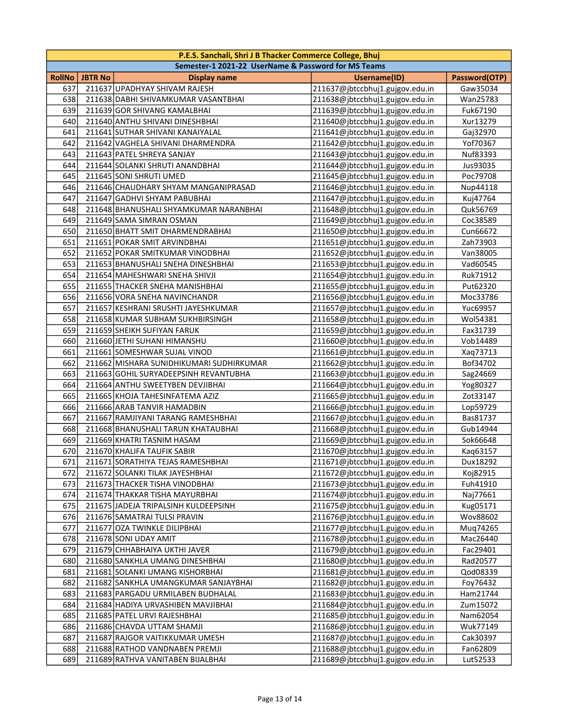| P.E.S. Sanchali, Shri J B Thacker Commerce College, Bhuj |                |                                          |                                 |               |  |  |  |  |
|----------------------------------------------------------|----------------|------------------------------------------|---------------------------------|---------------|--|--|--|--|
| Semester-1 2021-22 UserName & Password for MS Teams      |                |                                          |                                 |               |  |  |  |  |
| <b>RollNo</b>                                            | <b>JBTR No</b> | <b>Display name</b>                      | <b>Username(ID)</b>             | Password(OTP) |  |  |  |  |
| 637                                                      |                | 211637 UPADHYAY SHIVAM RAJESH            | 211637@jbtccbhuj1.gujgov.edu.in | Gaw35034      |  |  |  |  |
| 638                                                      |                | 211638 DABHI SHIVAMKUMAR VASANTBHAI      | 211638@jbtccbhuj1.gujgov.edu.in | Wan25783      |  |  |  |  |
| 639                                                      |                | 211639 GOR SHIVANG KAMALBHAI             | 211639@jbtccbhuj1.gujgov.edu.in | Fuk67190      |  |  |  |  |
| 640                                                      |                | 211640 ANTHU SHIVANI DINESHBHAI          | 211640@jbtccbhuj1.gujgov.edu.in | Xur13279      |  |  |  |  |
| 641                                                      |                | 211641 SUTHAR SHIVANI KANAIYALAL         | 211641@jbtccbhuj1.gujgov.edu.in | Gaj32970      |  |  |  |  |
| 642                                                      |                | 211642 VAGHELA SHIVANI DHARMENDRA        | 211642@jbtccbhuj1.gujgov.edu.in | Yof70367      |  |  |  |  |
| 643                                                      |                | 211643 PATEL SHREYA SANJAY               | 211643@jbtccbhuj1.gujgov.edu.in | Nuf83393      |  |  |  |  |
| 644                                                      |                | 211644 SOLANKI SHRUTI ANANDBHAI          | 211644@jbtccbhuj1.gujgov.edu.in | Jus93035      |  |  |  |  |
| 645                                                      |                | 211645 SONI SHRUTI UMED                  | 211645@jbtccbhuj1.gujgov.edu.in | Poc79708      |  |  |  |  |
| 646                                                      |                | 211646 CHAUDHARY SHYAM MANGANIPRASAD     | 211646@jbtccbhuj1.gujgov.edu.in | Nup44118      |  |  |  |  |
| 647                                                      |                | 211647 GADHVI SHYAM PABUBHAI             | 211647@jbtccbhuj1.gujgov.edu.in | Kuj47764      |  |  |  |  |
| 648                                                      |                | 211648 BHANUSHALI SHYAMKUMAR NARANBHAI   | 211648@jbtccbhuj1.gujgov.edu.in | Quk56769      |  |  |  |  |
| 649                                                      |                | 211649 SAMA SIMRAN OSMAN                 | 211649@jbtccbhuj1.gujgov.edu.in | Coc38589      |  |  |  |  |
| 650                                                      |                | 211650 BHATT SMIT DHARMENDRABHAI         | 211650@jbtccbhuj1.gujgov.edu.in | Cun66672      |  |  |  |  |
| 651                                                      |                | 211651 POKAR SMIT ARVINDBHAI             | 211651@jbtccbhuj1.gujgov.edu.in | Zah73903      |  |  |  |  |
| 652                                                      |                | 211652 POKAR SMITKUMAR VINODBHAI         | 211652@jbtccbhuj1.gujgov.edu.in | Van38005      |  |  |  |  |
| 653                                                      |                | 211653 BHANUSHALI SNEHA DINESHBHAI       | 211653@jbtccbhuj1.gujgov.edu.in | Vad60545      |  |  |  |  |
| 654                                                      |                | 211654 MAHESHWARI SNEHA SHIVJI           | 211654@jbtccbhuj1.gujgov.edu.in | Ruk71912      |  |  |  |  |
| 655                                                      |                | 211655 THACKER SNEHA MANISHBHAI          | 211655@jbtccbhuj1.gujgov.edu.in | Put62320      |  |  |  |  |
| 656                                                      |                | 211656 VORA SNEHA NAVINCHANDR            | 211656@jbtccbhuj1.gujgov.edu.in | Moc33786      |  |  |  |  |
| 657                                                      |                | 211657 KESHRANI SRUSHTI JAYESHKUMAR      | 211657@jbtccbhuj1.gujgov.edu.in | Yuc69957      |  |  |  |  |
| 658                                                      |                | 211658 KUMAR SUBHAM SUKHBIRSINGH         | 211658@jbtccbhuj1.gujgov.edu.in | Wol54381      |  |  |  |  |
| 659                                                      |                | 211659 SHEIKH SUFIYAN FARUK              | 211659@jbtccbhuj1.gujgov.edu.in | Fax31739      |  |  |  |  |
| 660                                                      |                | 211660 JETHI SUHANI HIMANSHU             | 211660@jbtccbhuj1.gujgov.edu.in | Vob14489      |  |  |  |  |
| 661                                                      |                | 211661 SOMESHWAR SUJAL VINOD             | 211661@jbtccbhuj1.gujgov.edu.in | Xaq73713      |  |  |  |  |
| 662                                                      |                | 211662 MISHARA SUNIDHIKUMARI SUDHIRKUMAR | 211662@jbtccbhuj1.gujgov.edu.in | Bof34702      |  |  |  |  |
| 663                                                      |                | 211663 GOHIL SURYADEEPSINH REVANTUBHA    | 211663@jbtccbhuj1.gujgov.edu.in | Sag24669      |  |  |  |  |
| 664                                                      |                | 211664 ANTHU SWEETYBEN DEVJIBHAI         | 211664@jbtccbhuj1.gujgov.edu.in | Yog80327      |  |  |  |  |
| 665                                                      |                | 211665 KHOJA TAHESINFATEMA AZIZ          | 211665@jbtccbhuj1.gujgov.edu.in | Zot33147      |  |  |  |  |
| 666                                                      |                | 211666 ARAB TANVIR HAMADBIN              | 211666@jbtccbhuj1.gujgov.edu.in | Lop59729      |  |  |  |  |
| 667                                                      |                | 211667 RAMJIYANI TARANG RAMESHBHAI       | 211667@jbtccbhuj1.gujgov.edu.in | Bas81737      |  |  |  |  |
| 668                                                      |                | 211668 BHANUSHALI TARUN KHATAUBHAI       | 211668@jbtccbhuj1.gujgov.edu.in | Gub14944      |  |  |  |  |
| 669                                                      |                | 211669 KHATRI TASNIM HASAM               | 211669@jbtccbhuj1.gujgov.edu.in | Sok66648      |  |  |  |  |
| 670                                                      |                | 211670 KHALIFA TAUFIK SABIR              | 211670@jbtccbhuj1.gujgov.edu.in | Kaq63157      |  |  |  |  |
| 671                                                      |                | 211671 SORATHIYA TEJAS RAMESHBHAI        | 211671@jbtccbhuj1.gujgov.edu.in | Dux18292      |  |  |  |  |
| 672                                                      |                | 211672 SOLANKI TILAK JAYESHBHAI          | 211672@jbtccbhuj1.gujgov.edu.in | Koj82915      |  |  |  |  |
| 673                                                      |                | 211673 THACKER TISHA VINODBHAI           | 211673@jbtccbhuj1.gujgov.edu.in | Fuh41910      |  |  |  |  |
| 674                                                      |                | 211674 THAKKAR TISHA MAYURBHAI           | 211674@jbtccbhuj1.gujgov.edu.in | Naj77661      |  |  |  |  |
| 675                                                      |                | 211675 JADEJA TRIPALSINH KULDEEPSINH     | 211675@jbtccbhuj1.gujgov.edu.in | Kug05171      |  |  |  |  |
| 676                                                      |                | 211676 SAMATRAI TULSI PRAVIN             | 211676@jbtccbhuj1.gujgov.edu.in | Wov88602      |  |  |  |  |
| 677                                                      |                | 211677 OZA TWINKLE DILIPBHAI             | 211677@jbtccbhuj1.gujgov.edu.in | Mug74265      |  |  |  |  |
| 678                                                      |                | 211678 SONI UDAY AMIT                    | 211678@jbtccbhuj1.gujgov.edu.in | Mac26440      |  |  |  |  |
| 679                                                      |                | 211679 CHHABHAIYA UKTHI JAVER            | 211679@jbtccbhuj1.gujgov.edu.in | Fac29401      |  |  |  |  |
| 680                                                      |                | 211680 SANKHLA UMANG DINESHBHAI          | 211680@jbtccbhuj1.gujgov.edu.in | Rad20577      |  |  |  |  |
| 681                                                      |                | 211681 SOLANKI UMANG KISHORBHAI          | 211681@jbtccbhuj1.gujgov.edu.in | Qod08339      |  |  |  |  |
| 682                                                      |                | 211682 SANKHLA UMANGKUMAR SANJAYBHAI     | 211682@jbtccbhuj1.gujgov.edu.in | Foy76432      |  |  |  |  |
| 683                                                      |                | 211683 PARGADU URMILABEN BUDHALAL        | 211683@jbtccbhuj1.gujgov.edu.in | Ham21744      |  |  |  |  |
| 684                                                      |                | 211684 HADIYA URVASHIBEN MAVJIBHAI       | 211684@jbtccbhuj1.gujgov.edu.in | Zum15072      |  |  |  |  |
| 685                                                      |                | 211685 PATEL URVI RAJESHBHAI             | 211685@jbtccbhuj1.gujgov.edu.in | Nam62054      |  |  |  |  |
| 686                                                      |                | 211686 CHAVDA UTTAM SHAMJI               | 211686@jbtccbhuj1.gujgov.edu.in | Wuk77149      |  |  |  |  |
| 687                                                      |                | 211687 RAJGOR VAITIKKUMAR UMESH          | 211687@jbtccbhuj1.gujgov.edu.in | Cak30397      |  |  |  |  |
| 688                                                      |                | 211688 RATHOD VANDNABEN PREMJI           | 211688@jbtccbhuj1.gujgov.edu.in | Fan62809      |  |  |  |  |
| 689                                                      |                | 211689 RATHVA VANITABEN BIJALBHAI        | 211689@jbtccbhuj1.gujgov.edu.in | Lut52533      |  |  |  |  |